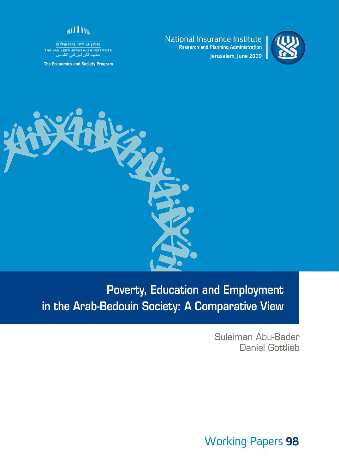

<mark>מכון ון ליר בירושלים</mark><br>THE VAN LEER JERUSALEM INSTITUTE<br>معهد قان لير في القدس

**The Economics and Society Program**

National Insurance Institute **Research and Planning Administration Jerusalem, June 2009**



# Poverty, Education and Employment in the Arab-Bedouin Society: A Comparative View

Suleiman Abu-Bader Daniel Gottlieb

Working Papers **98**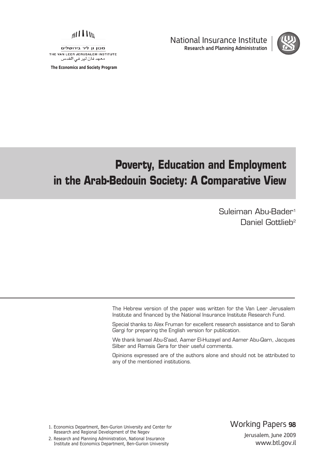$\mathcal{U}$  in the set of the set of  $\mathcal{U}$ 

.<br>מכון ון ליר בירושלים THE VAN LEER JERUSALEM INSTITUTE معهد فان لير في القدس

**The Economics and Society Program**

National Insurance Institute **Research and Planning Administration**



# **Poverty, Education and Employment in the Arab-Bedouin Society: A Comparative View**

Suleiman Abu-Bader1 Daniel Gottlieb<sup>2</sup>

The Hebrew version of the paper was written for the Van Leer Jerusalem Institute and financed by the National Insurance Institute Research Fund.

Special thanks to Alex Fruman for excellent research assistance and to Sarah Gargi for preparing the English version for publication.

We thank Ismael Abu-S'aad, Aamer El-Huzayel and Aamer Abu-Qarn, Jacques Silber and Ramsis Gera for their useful comments.

Opinions expressed are of the authors alone and should not be attributed to any of the mentioned institutions.

1. Economics Department, Ben-Gurion University and Center for Research and Regional Development of the Negev

2. Research and Planning Administration, National Insurance Institute and Economics Department, Ben-Gurion University Working Papers **98**

Jerusalem, June 2009 www.btl.gov.il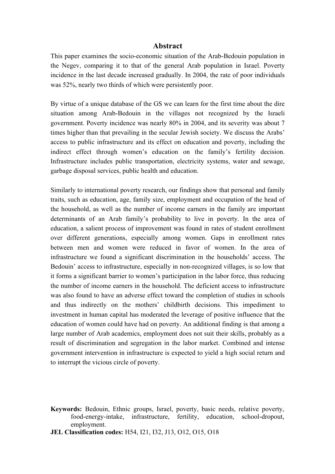# Abstract

This paper examines the socio-economic situation of the Arab-Bedouin population in the Negev, comparing it to that of the general Arab population in Israel. Poverty incidence in the last decade increased gradually. In 2004, the rate of poor individuals was 52%, nearly two thirds of which were persistently poor.

By virtue of a unique database of the GS we can learn for the first time about the dire situation among Arab-Bedouin in the villages not recognized by the Israeli government. Poverty incidence was nearly 80% in 2004, and its severity was about 7 times higher than that prevailing in the secular Jewish society. We discuss the Arabs' access to public infrastructure and its effect on education and poverty, including the indirect effect through women's education on the family's fertility decision. Infrastructure includes public transportation, electricity systems, water and sewage, garbage disposal services, public health and education.

Similarly to international poverty research, our findings show that personal and family traits, such as education, age, family size, employment and occupation of the head of the household, as well as the number of income earners in the family are important determinants of an Arab family's probability to live in poverty. In the area of education, a salient process of improvement was found in rates of student enrollment over different generations, especially among women. Gaps in enrollment rates between men and women were reduced in favor of women. In the area of infrastructure we found a significant discrimination in the households' access. The Bedouin' access to infrastructure, especially in non-recognized villages, is so low that it forms a significant barrier to women's participation in the labor force, thus reducing the number of income earners in the household. The deficient access to infrastructure was also found to have an adverse effect toward the completion of studies in schools and thus indirectly on the mothers' childbirth decisions. This impediment to investment in human capital has moderated the leverage of positive influence that the education of women could have had on poverty. An additional finding is that among a large number of Arab academics, employment does not suit their skills, probably as a result of discrimination and segregation in the labor market. Combined and intense government intervention in infrastructure is expected to yield a high social return and to interrupt the vicious circle of poverty.

Keywords: Bedouin, Ethnic groups, Israel, poverty, basic needs, relative poverty, food-energy-intake, infrastructure, fertility, education, school-dropout, employment.

JEL Classification codes: H54, I21, I32, J13, O12, O15, O18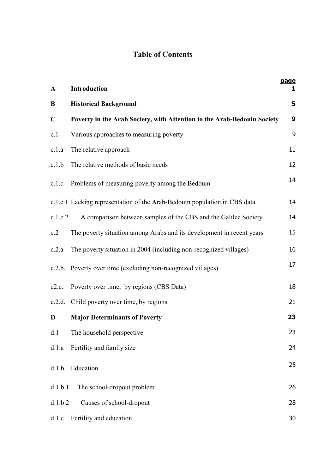# Table of Contents

| $\mathbf{A}$ | Introduction                                                              | <u>page</u><br>1 |
|--------------|---------------------------------------------------------------------------|------------------|
| B            | <b>Historical Background</b>                                              | 5                |
| $\mathbf C$  | Poverty in the Arab Society, with Attention to the Arab-Bedouin Society   | 9                |
| c.1          | Various approaches to measuring poverty                                   | 9                |
| c.1.a        | The relative approach                                                     | 11               |
| c.1.b        | The relative methods of basic needs                                       | 12               |
| c.1.c        | Problems of measuring poverty among the Bedouin                           | 14               |
|              | c.1.c.1 Lacking representation of the Arab-Bedouin population in CBS data | 14               |
| c.1.c.2      | A comparison between samples of the CBS and the Galilee Society           | 14               |
| c.2          | The poverty situation among Arabs and its development in recent years     | 15               |
| c.2.a        | The poverty situation in 2004 (including non-recognized villages)         | 16               |
|              | c.2.b. Poverty over time (excluding non-recognized villages)              | 17               |
| c2.c.        | Poverty over time, by regions (CBS Data)                                  | 18               |
|              | c.2.d. Child poverty over time, by regions                                | 21               |
| D            | <b>Major Determinants of Poverty</b>                                      | 23               |
| d.1          | The household perspective                                                 | 23               |
| d.1.a        | Fertility and family size                                                 | 24               |
| d.1.b        | Education                                                                 | 25               |
| d.1.b.1      | The school-dropout problem                                                | 26               |
| d.1.b.2      | Causes of school-dropout                                                  | 28               |
| d.1.c        | Fertility and education                                                   | 30               |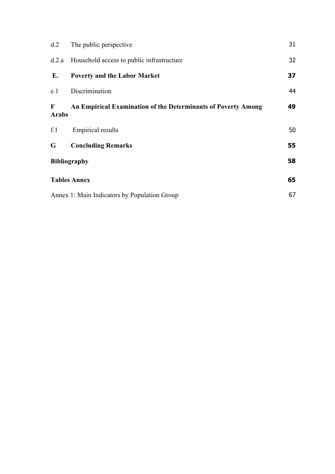| d.2                                          | The public perspective                                        | 31 |  |
|----------------------------------------------|---------------------------------------------------------------|----|--|
| d.2.a                                        | Household access to public infrastructure                     | 32 |  |
| Е.                                           | <b>Poverty and the Labor Market</b>                           | 37 |  |
| e.1                                          | Discrimination                                                | 44 |  |
| F<br><b>Arabs</b>                            | An Empirical Examination of the Determinants of Poverty Among | 49 |  |
| f <sub>1</sub>                               | <b>Empirical results</b>                                      | 50 |  |
| G                                            | <b>Concluding Remarks</b>                                     | 55 |  |
| <b>Bibliography</b>                          |                                                               | 58 |  |
|                                              | <b>Tables Annex</b>                                           | 65 |  |
| Annex 1: Main Indicators by Population Group |                                                               |    |  |
|                                              |                                                               |    |  |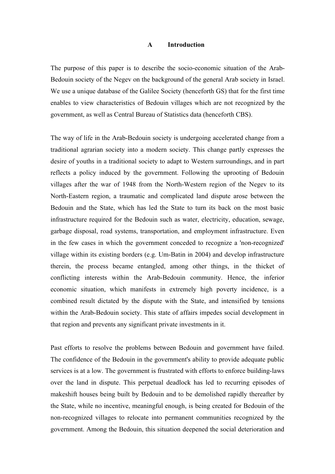#### A Introduction

The purpose of this paper is to describe the socio-economic situation of the Arab-Bedouin society of the Negev on the background of the general Arab society in Israel. We use a unique database of the Galilee Society (henceforth GS) that for the first time enables to view characteristics of Bedouin villages which are not recognized by the government, as well as Central Bureau of Statistics data (henceforth CBS).

The way of life in the Arab-Bedouin society is undergoing accelerated change from a traditional agrarian society into a modern society. This change partly expresses the desire of youths in a traditional society to adapt to Western surroundings, and in part reflects a policy induced by the government. Following the uprooting of Bedouin villages after the war of 1948 from the North-Western region of the Negev to its North-Eastern region, a traumatic and complicated land dispute arose between the Bedouin and the State, which has led the State to turn its back on the most basic infrastructure required for the Bedouin such as water, electricity, education, sewage, garbage disposal, road systems, transportation, and employment infrastructure. Even in the few cases in which the government conceded to recognize a 'non-recognized' village within its existing borders (e.g. Um-Batin in 2004) and develop infrastructure therein, the process became entangled, among other things, in the thicket of conflicting interests within the Arab-Bedouin community. Hence, the inferior economic situation, which manifests in extremely high poverty incidence, is a combined result dictated by the dispute with the State, and intensified by tensions within the Arab-Bedouin society. This state of affairs impedes social development in that region and prevents any significant private investments in it.

Past efforts to resolve the problems between Bedouin and government have failed. The confidence of the Bedouin in the government's ability to provide adequate public services is at a low. The government is frustrated with efforts to enforce building-laws over the land in dispute. This perpetual deadlock has led to recurring episodes of makeshift houses being built by Bedouin and to be demolished rapidly thereafter by the State, while no incentive, meaningful enough, is being created for Bedouin of the non-recognized villages to relocate into permanent communities recognized by the government. Among the Bedouin, this situation deepened the social deterioration and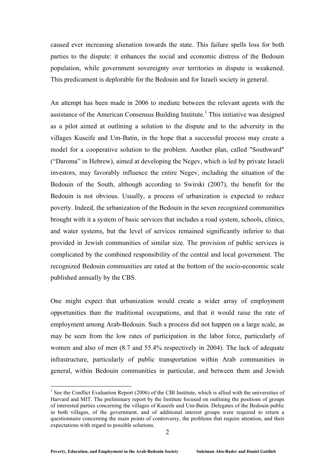caused ever increasing alienation towards the state. This failure spells loss for both parties to the dispute: it enhances the social and economic distress of the Bedouin population, while government sovereignty over territories in dispute is weakened. This predicament is deplorable for the Bedouin and for Israeli society in general.

An attempt has been made in 2006 to mediate between the relevant agents with the assistance of the American Consensus Building Institute.<sup>1</sup> This initiative was designed as a pilot aimed at outlining a solution to the dispute and to the adversity in the villages Kuseife and Um-Batin, in the hope that a successful process may create a model for a cooperative solution to the problem. Another plan, called "Southward" ("Daroma" in Hebrew), aimed at developing the Negev, which is led by private Israeli investors, may favorably influence the entire Negev, including the situation of the Bedouin of the South, although according to Swirski (2007), the benefit for the Bedouin is not obvious. Usually, a process of urbanization is expected to reduce poverty. Indeed, the urbanization of the Bedouin in the seven recognized communities brought with it a system of basic services that includes a road system, schools, clinics, and water systems, but the level of services remained significantly inferior to that provided in Jewish communities of similar size. The provision of public services is complicated by the combined responsibility of the central and local government. The recognized Bedouin communities are rated at the bottom of the socio-economic scale published annually by the CBS.

One might expect that urbanization would create a wider array of employment opportunities than the traditional occupations, and that it would raise the rate of employment among Arab-Bedouin. Such a process did not happen on a large scale, as may be seen from the low rates of participation in the labor force, particularly of women and also of men (8.7 and 55.4% respectively in 2004). The lack of adequate infrastructure, particularly of public transportation within Arab communities in general, within Bedouin communities in particular, and between them and Jewish

<sup>&</sup>lt;sup>1</sup> See the Conflict Evaluation Report (2006) of the CBI Institute, which is allied with the universities of Harvard and MIT. The preliminary report by the Institute focused on outlining the positions of groups of interested parties concerning the villages of Kuseife and Um-Batin. Delegates of the Bedouin public in both villages, of the government, and of additional interest groups were required to return a questionnaire concerning the main points of controversy, the problems that require attention, and their expectations with regard to possible solutions.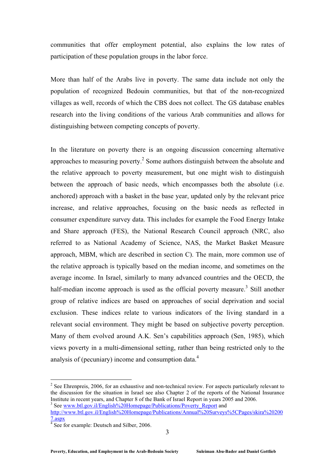communities that offer employment potential, also explains the low rates of participation of these population groups in the labor force.

More than half of the Arabs live in poverty. The same data include not only the population of recognized Bedouin communities, but that of the non-recognized villages as well, records of which the CBS does not collect. The GS database enables research into the living conditions of the various Arab communities and allows for distinguishing between competing concepts of poverty.

In the literature on poverty there is an ongoing discussion concerning alternative approaches to measuring poverty.<sup>2</sup> Some authors distinguish between the absolute and the relative approach to poverty measurement, but one might wish to distinguish between the approach of basic needs, which encompasses both the absolute (i.e. anchored) approach with a basket in the base year, updated only by the relevant price increase, and relative approaches, focusing on the basic needs as reflected in consumer expenditure survey data. This includes for example the Food Energy Intake and Share approach (FES), the National Research Council approach (NRC, also referred to as National Academy of Science, NAS, the Market Basket Measure approach, MBM, which are described in section C). The main, more common use of the relative approach is typically based on the median income, and sometimes on the average income. In Israel, similarly to many advanced countries and the OECD, the half-median income approach is used as the official poverty measure.<sup>3</sup> Still another group of relative indices are based on approaches of social deprivation and social exclusion. These indices relate to various indicators of the living standard in a relevant social environment. They might be based on subjective poverty perception. Many of them evolved around A.K. Sen's capabilities approach (Sen, 1985), which views poverty in a multi-dimensional setting, rather than being restricted only to the analysis of (pecuniary) income and consumption data.<sup>4</sup>

<sup>&</sup>lt;sup>2</sup> See Ehrenpreis, 2006, for an exhaustive and non-technical review. For aspects particularly relevant to the discussion for the situation in Israel see also Chapter 2 of the reports of the National Insurance Institute in recent years, and Chapter 8 of the Bank of Israel Report in years 2005 and 2006. <sup>3</sup> See www.btl.gov.il/English%20Homepage/Publications/Poverty\_Report and

http://www.btl.gov.il/English%20Homepage/Publications/Annual%20Surveys%5CPages/skira%20200  $\frac{7 \text{.aspx}}{4}$  See for example: Deutsch and Silber, 2006.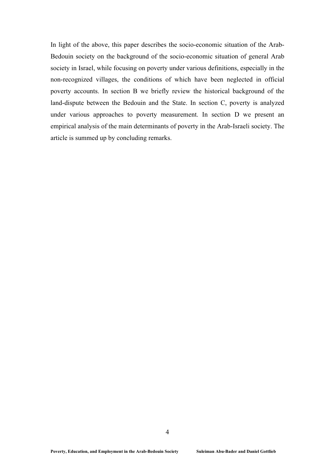In light of the above, this paper describes the socio-economic situation of the Arab-Bedouin society on the background of the socio-economic situation of general Arab society in Israel, while focusing on poverty under various definitions, especially in the non-recognized villages, the conditions of which have been neglected in official poverty accounts. In section B we briefly review the historical background of the land-dispute between the Bedouin and the State. In section C, poverty is analyzed under various approaches to poverty measurement. In section D we present an empirical analysis of the main determinants of poverty in the Arab-Israeli society. The article is summed up by concluding remarks.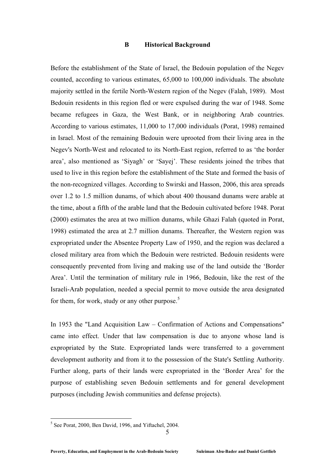### B Historical Background

Before the establishment of the State of Israel, the Bedouin population of the Negev counted, according to various estimates, 65,000 to 100,000 individuals. The absolute majority settled in the fertile North-Western region of the Negev (Falah, 1989). Most Bedouin residents in this region fled or were expulsed during the war of 1948. Some became refugees in Gaza, the West Bank, or in neighboring Arab countries. According to various estimates, 11,000 to 17,000 individuals (Porat, 1998) remained in Israel. Most of the remaining Bedouin were uprooted from their living area in the Negev's North-West and relocated to its North-East region, referred to as 'the border area', also mentioned as 'Siyagh' or 'Sayej'. These residents joined the tribes that used to live in this region before the establishment of the State and formed the basis of the non-recognized villages. According to Swirski and Hasson, 2006, this area spreads over 1.2 to 1.5 million dunams, of which about 400 thousand dunams were arable at the time, about a fifth of the arable land that the Bedouin cultivated before 1948. Porat (2000) estimates the area at two million dunams, while Ghazi Falah (quoted in Porat, 1998) estimated the area at 2.7 million dunams. Thereafter, the Western region was expropriated under the Absentee Property Law of 1950, and the region was declared a closed military area from which the Bedouin were restricted. Bedouin residents were consequently prevented from living and making use of the land outside the 'Border Area'. Until the termination of military rule in 1966, Bedouin, like the rest of the Israeli-Arab population, needed a special permit to move outside the area designated for them, for work, study or any other purpose. $5$ 

In 1953 the "Land Acquisition Law – Confirmation of Actions and Compensations" came into effect. Under that law compensation is due to anyone whose land is expropriated by the State. Expropriated lands were transferred to a government development authority and from it to the possession of the State's Settling Authority. Further along, parts of their lands were expropriated in the 'Border Area' for the purpose of establishing seven Bedouin settlements and for general development purposes (including Jewish communities and defense projects).

 $\overline{a}$ 

5

<sup>&</sup>lt;sup>5</sup> See Porat, 2000, Ben David, 1996, and Yiftachel, 2004.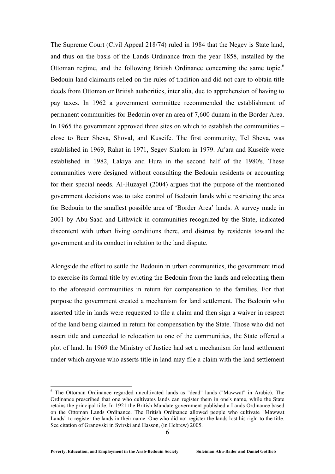The Supreme Court (Civil Appeal 218/74) ruled in 1984 that the Negev is State land, and thus on the basis of the Lands Ordinance from the year 1858, installed by the Ottoman regime, and the following British Ordinance concerning the same topic.<sup>6</sup> Bedouin land claimants relied on the rules of tradition and did not care to obtain title deeds from Ottoman or British authorities, inter alia, due to apprehension of having to pay taxes. In 1962 a government committee recommended the establishment of permanent communities for Bedouin over an area of 7,600 dunam in the Border Area. In 1965 the government approved three sites on which to establish the communities – close to Beer Sheva, Shoval, and Kuseife. The first community, Tel Sheva, was established in 1969, Rahat in 1971, Segev Shalom in 1979. Ar'ara and Kuseife were established in 1982, Lakiya and Hura in the second half of the 1980's. These communities were designed without consulting the Bedouin residents or accounting for their special needs. Al-Huzayel (2004) argues that the purpose of the mentioned government decisions was to take control of Bedouin lands while restricting the area for Bedouin to the smallest possible area of 'Border Area' lands. A survey made in 2001 by Abu-Saad and Lithwick in communities recognized by the State, indicated discontent with urban living conditions there, and distrust by residents toward the government and its conduct in relation to the land dispute.

Alongside the effort to settle the Bedouin in urban communities, the government tried to exercise its formal title by evicting the Bedouin from the lands and relocating them to the aforesaid communities in return for compensation to the families. For that purpose the government created a mechanism for land settlement. The Bedouin who asserted title in lands were requested to file a claim and then sign a waiver in respect of the land being claimed in return for compensation by the State. Those who did not assert title and conceded to relocation to one of the communities, the State offered a plot of land. In 1969 the Ministry of Justice had set a mechanism for land settlement under which anyone who asserts title in land may file a claim with the land settlement

<sup>6</sup> The Ottoman Ordinance regarded uncultivated lands as "dead" lands ("Mawwat" in Arabic). The Ordinance prescribed that one who cultivates lands can register them in one's name, while the State retains the principal title. In 1921 the British Mandate government published a Lands Ordinance based on the Ottoman Lands Ordinance. The British Ordinance allowed people who cultivate "Mawwat Lands" to register the lands in their name. One who did not register the lands lost his right to the title. See citation of Granovski in Svirski and Hasson, (in Hebrew) 2005.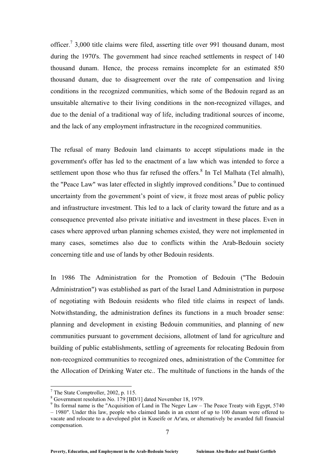officer.<sup>7</sup> 3,000 title claims were filed, asserting title over 991 thousand dunam, most during the 1970's. The government had since reached settlements in respect of 140 thousand dunam. Hence, the process remains incomplete for an estimated 850 thousand dunam, due to disagreement over the rate of compensation and living conditions in the recognized communities, which some of the Bedouin regard as an unsuitable alternative to their living conditions in the non-recognized villages, and due to the denial of a traditional way of life, including traditional sources of income, and the lack of any employment infrastructure in the recognized communities.

The refusal of many Bedouin land claimants to accept stipulations made in the government's offer has led to the enactment of a law which was intended to force a settlement upon those who thus far refused the offers.<sup>8</sup> In Tel Malhata (Tel almalh), the "Peace Law" was later effected in slightly improved conditions.<sup>9</sup> Due to continued uncertainty from the government's point of view, it froze most areas of public policy and infrastructure investment. This led to a lack of clarity toward the future and as a consequence prevented also private initiative and investment in these places. Even in cases where approved urban planning schemes existed, they were not implemented in many cases, sometimes also due to conflicts within the Arab-Bedouin society concerning title and use of lands by other Bedouin residents.

In 1986 The Administration for the Promotion of Bedouin ("The Bedouin Administration") was established as part of the Israel Land Administration in purpose of negotiating with Bedouin residents who filed title claims in respect of lands. Notwithstanding, the administration defines its functions in a much broader sense: planning and development in existing Bedouin communities, and planning of new communities pursuant to government decisions, allotment of land for agriculture and building of public establishments, settling of agreements for relocating Bedouin from non-recognized communities to recognized ones, administration of the Committee for the Allocation of Drinking Water etc.. The multitude of functions in the hands of the

 $<sup>7</sup>$  The State Comptroller, 2002, p. 115.</sup>

<sup>8</sup> Government resolution No. 179 [BD/1] dated November 18, 1979.

<sup>&</sup>lt;sup>9</sup> Its formal name is the "Acquisition of Land in The Negev Law – The Peace Treaty with Egypt, 5740 – 1980". Under this law, people who claimed lands in an extent of up to 100 dunam were offered to vacate and relocate to a developed plot in Kuseife or Ar'ara, or alternatively be awarded full financial compensation.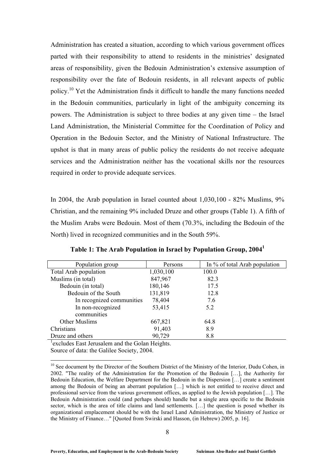Administration has created a situation, according to which various government offices parted with their responsibility to attend to residents in the ministries' designated areas of responsibility, given the Bedouin Administration's extensive assumption of responsibility over the fate of Bedouin residents, in all relevant aspects of public policy.<sup>10</sup> Yet the Administration finds it difficult to handle the many functions needed in the Bedouin communities, particularly in light of the ambiguity concerning its powers. The Administration is subject to three bodies at any given time – the Israel Land Administration, the Ministerial Committee for the Coordination of Policy and Operation in the Bedouin Sector, and the Ministry of National Infrastructure. The upshot is that in many areas of public policy the residents do not receive adequate services and the Administration neither has the vocational skills nor the resources required in order to provide adequate services.

In 2004, the Arab population in Israel counted about 1,030,100 - 82% Muslims, 9% Christian, and the remaining 9% included Druze and other groups (Table 1). A fifth of the Muslim Arabs were Bedouin. Most of them (70.3%, including the Bedouin of the North) lived in recognized communities and in the South 59%.

| Population group          | Persons   | In % of total Arab population |
|---------------------------|-----------|-------------------------------|
| Total Arab population     | 1,030,100 | 100.0                         |
| Muslims (in total)        | 847,967   | 82.3                          |
| Bedouin (in total)        | 180,146   | 17.5                          |
| Bedouin of the South      | 131,819   | 12.8                          |
| In recognized communities | 78,404    | 7.6                           |
| In non-recognized         | 53,415    | 5.2                           |
| communities               |           |                               |
| Other Muslims             | 667,821   | 64.8                          |
| Christians                | 91,403    | 8.9                           |
| Druze and others          | 90,729    | 8.8                           |
| .                         |           |                               |

Table 1: The Arab Population in Israel by Population Group.  $2004<sup>1</sup>$ 

<sup>1</sup> excludes East Jerusalem and the Golan Heights.

Source of data: the Galilee Society, 2004.

<sup>&</sup>lt;sup>10</sup> See document by the Director of the Southern District of the Ministry of the Interior, Dudu Cohen, in 2002. "The reality of the Administration for the Promotion of the Bedouin […], the Authority for Bedouin Education, the Welfare Department for the Bedouin in the Dispersion […] create a sentiment among the Bedouin of being an aberrant population […] which is not entitled to receive direct and professional service from the various government offices, as applied to the Jewish population […]. The Bedouin Administration could (and perhaps should) handle but a single area specific to the Bedouin sector, which is the area of title claims and land settlements. […] the question is posed whether its organizational emplacement should be with the Israel Land Administration, the Ministry of Justice or the Ministry of Finance…" [Quoted from Swirski and Hasson, (in Hebrew) 2005, p. 16].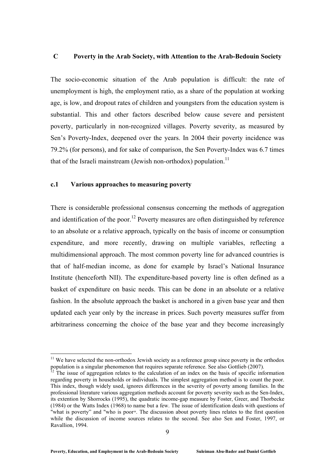# C Poverty in the Arab Society, with Attention to the Arab-Bedouin Society

The socio-economic situation of the Arab population is difficult: the rate of unemployment is high, the employment ratio, as a share of the population at working age, is low, and dropout rates of children and youngsters from the education system is substantial. This and other factors described below cause severe and persistent poverty, particularly in non-recognized villages. Poverty severity, as measured by Sen's Poverty-Index, deepened over the years. In 2004 their poverty incidence was 79.2% (for persons), and for sake of comparison, the Sen Poverty-Index was 6.7 times that of the Israeli mainstream (Jewish non-orthodox) population.<sup>11</sup>

# c.1 Various approaches to measuring poverty

There is considerable professional consensus concerning the methods of aggregation and identification of the poor.<sup>12</sup> Poverty measures are often distinguished by reference to an absolute or a relative approach, typically on the basis of income or consumption expenditure, and more recently, drawing on multiple variables, reflecting a multidimensional approach. The most common poverty line for advanced countries is that of half-median income, as done for example by Israel's National Insurance Institute (henceforth NII). The expenditure-based poverty line is often defined as a basket of expenditure on basic needs. This can be done in an absolute or a relative fashion. In the absolute approach the basket is anchored in a given base year and then updated each year only by the increase in prices. Such poverty measures suffer from arbitrariness concerning the choice of the base year and they become increasingly

 $11$  We have selected the non-orthodox Jewish society as a reference group since poverty in the orthodox population is a singular phenomenon that requires separate reference. See also Gottlieb (2007).<br><sup>12</sup> The issue of aggregation relates to the calculation of an index on the basis of specific information

regarding poverty in households or individuals. The simplest aggregation method is to count the poor. This index, though widely used, ignores differences in the severity of poverty among families. In the professional literature various aggregation methods account for poverty severity such as the Sen-Index, its extention by Shorrocks (1995), the quadratic income-gap measure by Foster, Greer, and Thorbecke (1984) or the Watts Index (1968) to name but a few. The issue of identification deals with questions of "what is poverty" and "who is poor". The discussion about poverty lines relates to the first question while the discussion of income sources relates to the second. See also Sen and Foster, 1997, or Ravallion, 1994.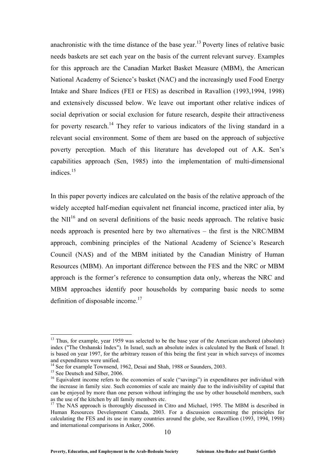anachronistic with the time distance of the base year.<sup>13</sup> Poverty lines of relative basic needs baskets are set each year on the basis of the current relevant survey. Examples for this approach are the Canadian Market Basket Measure (MBM), the American National Academy of Science's basket (NAC) and the increasingly used Food Energy Intake and Share Indices (FEI or FES) as described in Ravallion (1993,1994, 1998) and extensively discussed below. We leave out important other relative indices of social deprivation or social exclusion for future research, despite their attractiveness for poverty research.<sup>14</sup> They refer to various indicators of the living standard in a relevant social environment. Some of them are based on the approach of subjective poverty perception. Much of this literature has developed out of A.K. Sen's capabilities approach (Sen, 1985) into the implementation of multi-dimensional indices.<sup>15</sup>

In this paper poverty indices are calculated on the basis of the relative approach of the widely accepted half-median equivalent net financial income, practiced inter alia, by the  $\text{NII}^{16}$  and on several definitions of the basic needs approach. The relative basic needs approach is presented here by two alternatives – the first is the NRC/MBM approach, combining principles of the National Academy of Science's Research Council (NAS) and of the MBM initiated by the Canadian Ministry of Human Resources (MBM). An important difference between the FES and the NRC or MBM approach is the former's reference to consumption data only, whereas the NRC and MBM approaches identify poor households by comparing basic needs to some definition of disposable income. $17$ 

 $13$  Thus, for example, year 1959 was selected to be the base year of the American anchored (absolute) index ("The Orshanski Index"). In Israel, such an absolute index is calculated by the Bank of Israel. It is based on year 1997, for the arbitrary reason of this being the first year in which surveys of incomes and expenditures were unified.<br><sup>14</sup> See for example Townsend, 1962, Desai and Shah, 1988 or Saunders, 2003.

<sup>&</sup>lt;sup>15</sup> See Deutsch and Silber, 2006.<br><sup>16</sup> Equivalent income refers to the economies of scale ("savings") in expenditures per individual with the increase in family size. Such economies of scale are mainly due to the indivisibility of capital that can be enjoyed by more than one person without infringing the use by other household members, such as the use of the kitchen by all family members etc.

<sup>&</sup>lt;sup>17</sup> The NAS approach is thoroughly discussed in Citro and Michael, 1995. The MBM is described in Human Resources Development Canada, 2003. For a discussion concerning the principles for calculating the FES and its use in many countries around the globe, see Ravallion (1993, 1994, 1998) and international comparisons in Anker, 2006.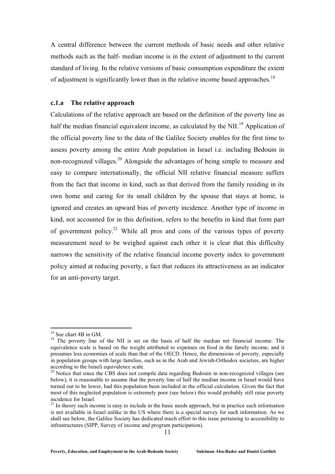A central difference between the current methods of basic needs and other relative methods such as the half- median income is in the extent of adjustment to the current standard of living. In the relative versions of basic consumption expenditure the extent of adjustment is significantly lower than in the relative income based approaches.<sup>18</sup>

# c.1.a The relative approach

Calculations of the relative approach are based on the definition of the poverty line as half the median financial equivalent income, as calculated by the  $\text{NIL}^{19}$  Application of the official poverty line to the data of the Galilee Society enables for the first time to assess poverty among the entire Arab population in Israel i.e. including Bedouin in non-recognized villages.<sup>20</sup> Alongside the advantages of being simple to measure and easy to compare internationally, the official NII relative financial measure suffers from the fact that income in kind, such as that derived from the family residing in its own home and caring for its small children by the spouse that stays at home, is ignored and creates an upward bias of poverty incidence. Another type of income in kind, not accounted for in this definition, refers to the benefits in kind that form part of government policy.<sup>21</sup> While all pros and cons of the various types of poverty measurement need to be weighed against each other it is clear that this difficulty narrows the sensitivity of the relative financial income poverty index to government policy aimed at reducing poverty, a fact that reduces its attractiveness as an indicator for an anti-poverty target.

 $18$  See chart 4B in GM.

 $19$  The poverty line of the NII is set on the basis of half the median net financial income. The equivalence scale is based on the weight attributed to expenses on food in the family income, and it presumes less economies of scale than that of the OECD. Hence, the dimensions of poverty, especially in population groups with large families, such as in the Arab and Jewish-Orthodox societies, are higher according to the Israeli equivalence scale.

 $20$  Notice that since the CBS does not compile data regarding Bedouin in non-recognized villages (see below), it is reasonable to assume that the poverty line of half the median income in Israel would have turned out to be lower, had this population been included in the official calculation. Given the fact that most of this neglected population is extremely poor (see below) this would probably still raise poverty incidence for Israel.

 $21$  In theory such income is easy to include in the basic needs approach, but in practice such information is not available in Israel unlike in the US where there is a special survey for such information. As we shall see below, the Galilee Society has dedicated much effort to this issue pertaining to accessibility to infrastructures (SIPP, Survey of income and program participation).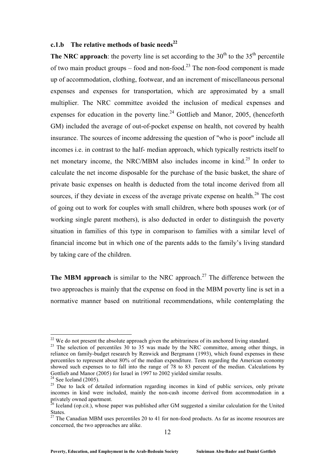# c.1.b The relative methods of basic needs<sup>22</sup>

The NRC approach: the poverty line is set according to the  $30<sup>th</sup>$  to the  $35<sup>th</sup>$  percentile of two main product groups – food and non-food.<sup>23</sup> The non-food component is made up of accommodation, clothing, footwear, and an increment of miscellaneous personal expenses and expenses for transportation, which are approximated by a small multiplier. The NRC committee avoided the inclusion of medical expenses and expenses for education in the poverty line.<sup>24</sup> Gottlieb and Manor, 2005, (henceforth GM) included the average of out-of-pocket expense on health, not covered by health insurance. The sources of income addressing the question of "who is poor" include all incomes i.e. in contrast to the half- median approach, which typically restricts itself to net monetary income, the NRC/MBM also includes income in kind.<sup>25</sup> In order to calculate the net income disposable for the purchase of the basic basket, the share of private basic expenses on health is deducted from the total income derived from all sources, if they deviate in excess of the average private expense on health.<sup>26</sup> The cost of going out to work for couples with small children, where both spouses work (or of working single parent mothers), is also deducted in order to distinguish the poverty situation in families of this type in comparison to families with a similar level of financial income but in which one of the parents adds to the family's living standard by taking care of the children.

**The MBM approach** is similar to the NRC approach.<sup>27</sup> The difference between the two approaches is mainly that the expense on food in the MBM poverty line is set in a normative manner based on nutritional recommendations, while contemplating the

<sup>&</sup>lt;sup>22</sup> We do not present the absolute approach given the arbitrariness of its anchored living standard.

<sup>&</sup>lt;sup>23</sup> The selection of percentiles  $30$  to 35 was made by the NRC committee, among other things, in reliance on family-budget research by Renwick and Bergmann (1993), which found expenses in these percentiles to represent about 80% of the median expenditure. Tests regarding the American economy showed such expenses to to fall into the range of 78 to 83 percent of the median. Calculations by Gottlieb and Manor (2005) for Israel in 1997 to 2002 yielded similar results.<br><sup>24</sup> See Iseland (2005)

<sup>&</sup>lt;sup>24</sup> See Iceland (2005). <sup>25</sup> Due to lack of detailed information regarding incomes in kind of public services, only private incomes in kind were included, mainly the non-cash income derived from accommodation in a privately owned apartment.

 $^{26}$  Iceland (op.cit.), whose paper was published after GM suggested a similar calculation for the United States.

The Canadian MBM uses percentiles 20 to 41 for non-food products. As far as income resources are concerned, the two approaches are alike.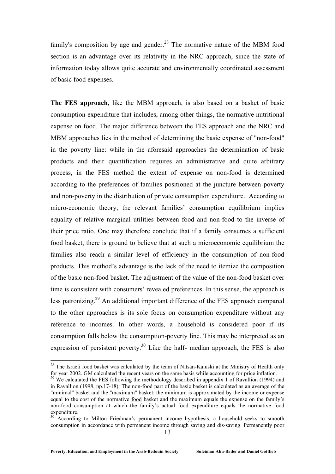family's composition by age and gender.<sup>28</sup> The normative nature of the MBM food section is an advantage over its relativity in the NRC approach, since the state of information today allows quite accurate and environmentally coordinated assessment of basic food expenses.

The FES approach, like the MBM approach, is also based on a basket of basic consumption expenditure that includes, among other things, the normative nutritional expense on food. The major difference between the FES approach and the NRC and MBM approaches lies in the method of determining the basic expense of "non-food" in the poverty line: while in the aforesaid approaches the determination of basic products and their quantification requires an administrative and quite arbitrary process, in the FES method the extent of expense on non-food is determined according to the preferences of families positioned at the juncture between poverty and non-poverty in the distribution of private consumption expenditure. According to micro-economic theory, the relevant families' consumption equilibrium implies equality of relative marginal utilities between food and non-food to the inverse of their price ratio. One may therefore conclude that if a family consumes a sufficient food basket, there is ground to believe that at such a microeconomic equilibrium the families also reach a similar level of efficiency in the consumption of non-food products. This method's advantage is the lack of the need to itemize the composition of the basic non-food basket. The adjustment of the value of the non-food basket over time is consistent with consumers' revealed preferences. In this sense, the approach is less patronizing.<sup>29</sup> An additional important difference of the FES approach compared to the other approaches is its sole focus on consumption expenditure without any reference to incomes. In other words, a household is considered poor if its consumption falls below the consumption-poverty line. This may be interpreted as an expression of persistent poverty.<sup>30</sup> Like the half- median approach, the FES is also

<sup>&</sup>lt;sup>28</sup> The Israeli food basket was calculated by the team of Nitsan-Kaluski at the Ministry of Health only for year 2002. GM calculated the recent years on the same basis while accounting for price inflation. <sup>29</sup> We calculated the FES following the methodology described in appendix 1 of Ravallion (1994) and

in Ravallion (1998, pp.17-18): The non-food part of the basic basket is calculated as an average of the "minimal" basket and the "maximum" basket: the minimum is approximated by the income or expense equal to the cost of the normative food basket and the maximum equals the expense on the family's non-food consumption at which the family's actual food expenditure equals the normative food expenditure.

<sup>30</sup> According to Milton Friedman's permanent income hypothesis, a household seeks to smooth consumption in accordance with permanent income through saving and dis-saving. Permanently poor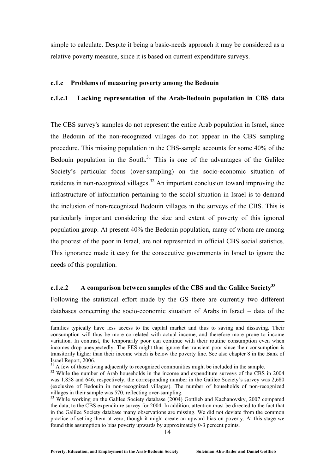simple to calculate. Despite it being a basic-needs approach it may be considered as a relative poverty measure, since it is based on current expenditure surveys.

### c.1.c Problems of measuring poverty among the Bedouin

# c.1.c.1 Lacking representation of the Arab-Bedouin population in CBS data

The CBS survey's samples do not represent the entire Arab population in Israel, since the Bedouin of the non-recognized villages do not appear in the CBS sampling procedure. This missing population in the CBS-sample accounts for some 40% of the Bedouin population in the South.<sup>31</sup> This is one of the advantages of the Galilee Society's particular focus (over-sampling) on the socio-economic situation of residents in non-recognized villages.<sup>32</sup> An important conclusion toward improving the infrastructure of information pertaining to the social situation in Israel is to demand the inclusion of non-recognized Bedouin villages in the surveys of the CBS. This is particularly important considering the size and extent of poverty of this ignored population group. At present 40% the Bedouin population, many of whom are among the poorest of the poor in Israel, are not represented in official CBS social statistics. This ignorance made it easy for the consecutive governments in Israel to ignore the needs of this population.

# c.1.c.2 A comparison between samples of the CBS and the Galilee Society<sup>33</sup>

Following the statistical effort made by the GS there are currently two different databases concerning the socio-economic situation of Arabs in Israel – data of the

<u>.</u>

families typically have less access to the capital market and thus to saving and dissaving. Their consumption will thus be more correlated with actual income, and therefore more prone to income variation. In contrast, the temporarily poor can continue with their routine consumption even when incomes drop unexpectedly. The FES might thus ignore the transient poor since their consumption is transitorily higher than their income which is below the poverty line. See also chapter 8 in the Bank of Israel Report, 2006.<br><sup>31</sup> A few of those living adiacently to recognized communities might be included in the sample.

 $32$  While the number of Arab households in the income and expenditure surveys of the CBS in 2004 was 1,858 and 646, respectively, the corresponding number in the Galilee Society's survey was 2,680 (exclusive of Bedouin in non-recognized villages). The number of households of non-recognized

<sup>&</sup>lt;sup>33</sup> While working on the Galilee Society database (2004) Gottlieb and Kachanovsky, 2007 compared the data, to the CBS expenditure survey for 2004. In addition, attention must be directed to the fact that in the Galilee Society database many observations are missing. We did not deviate from the common practice of setting them at zero, though it might create an upward bias on poverty. At this stage we found this assumption to bias poverty upwards by approximately 0-3 percent points.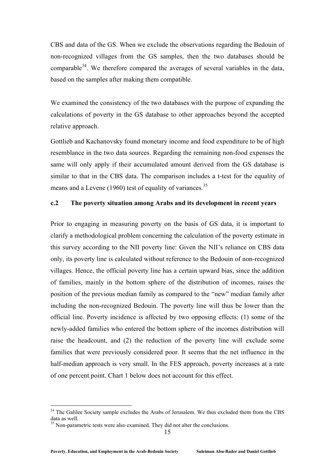CBS and data of the GS. When we exclude the observations regarding the Bedouin of non-recognized villages from the GS samples, then the two databases should be comparable $34$ . We therefore compared the averages of several variables in the data, based on the samples after making them compatible.

We examined the consistency of the two databases with the purpose of expanding the calculations of poverty in the GS database to other approaches beyond the accepted relative approach.

Gottlieb and Kachanovsky found monetary income and food expenditure to be of high resemblance in the two data sources. Regarding the remaining non-food expenses the same will only apply if their accumulated amount derived from the GS database is similar to that in the CBS data. The comparison includes a t-test for the equality of means and a Levene  $(1960)$  test of equality of variances.<sup>35</sup>

# c.2 The poverty situation among Arabs and its development in recent years

Prior to engaging in measuring poverty on the basis of GS data, it is important to clarify a methodological problem concerning the calculation of the poverty estimate in this survey according to the NII poverty line: Given the NII's reliance on CBS data only, its poverty line is calculated without reference to the Bedouin of non-recognized villages. Hence, the official poverty line has a certain upward bias, since the addition of families, mainly in the bottom sphere of the distribution of incomes, raises the position of the previous median family as compared to the "new" median family after including the non-recognized Bedouin. The poverty line will thus be lower than the official line. Poverty incidence is affected by two opposing effects: (1) some of the newly-added families who entered the bottom sphere of the incomes distribution will raise the headcount, and (2) the reduction of the poverty line will exclude some families that were previously considered poor. It seems that the net influence in the half-median approach is very small. In the FES approach, poverty increases at a rate of one percent point. Chart 1 below does not account for this effect.

<sup>&</sup>lt;sup>34</sup> The Galilee Society sample excludes the Arabs of Jerusalem. We thus excluded them from the CBS data as well.

 $35$  Non-parametric tests were also examined. They did not alter the conclusions.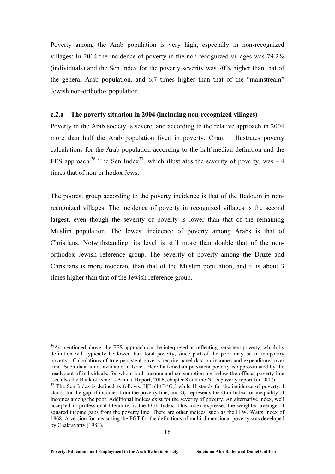Poverty among the Arab population is very high, especially in non-recognized villages: In 2004 the incidence of poverty in the non-recognized villages was 79.2% (individuals) and the Sen Index for the poverty severity was 70% higher than that of the general Arab population, and 6.7 times higher than that of the "mainstream" Jewish non-orthodox population.

# c.2.a The poverty situation in 2004 (including non-recognized villages)

Poverty in the Arab society is severe, and according to the relative approach in 2004 more than half the Arab population lived in poverty. Chart 1 illustrates poverty calculations for the Arab population according to the half-median definition and the FES approach.<sup>36</sup> The Sen Index<sup>37</sup>, which illustrates the severity of poverty, was 4.4 times that of non-orthodox Jews.

The poorest group according to the poverty incidence is that of the Bedouin in nonrecognized villages. The incidence of poverty in recognized villages is the second largest, even though the severity of poverty is lower than that of the remaining Muslim population. The lowest incidence of poverty among Arabs is that of Christians. Notwithstanding, its level is still more than double that of the nonorthodox Jewish reference group. The severity of poverty among the Druze and Christians is more moderate than that of the Muslim population, and it is about 3 times higher than that of the Jewish reference group.

 $\overline{a}$ <sup>36</sup>As mentioned above, the FES approach can be interpreted as reflecting persistent poverty, which by definition will typically be lower than total poverty, since part of the poor may be in temporary poverty. Calculations of true persistent poverty require panel data on incomes and expenditures over time. Such data is not available in Israel. Here half-median persistent poverty is approximated by the headcount of individuals, for whom both income and consumption are below the official poverty line (see also the Bank of Israel's Annual Report, 2006, chapter 8 and the NII's poverty report for 2007).<br><sup>37</sup> The Sen Index is defined as follows: H[I+(1+I)\*G<sub>p</sub>] while H stands for the incidence of poverty, I

stands for the gap of incomes from the poverty line, and  $G_p$  represents the Gini Index for inequality of incomes among the poor. Additional indices exist for the severity of poverty. An alternative index, well accepted in professional literature, is the FGT Index. This index expresses the weighted average of squared income gaps from the poverty line. There are other indices, such as the H.W. Watts Index of 1968. A version for measuring the FGT for the definitions of multi-dimensional poverty was developed by Chakravarty (1983).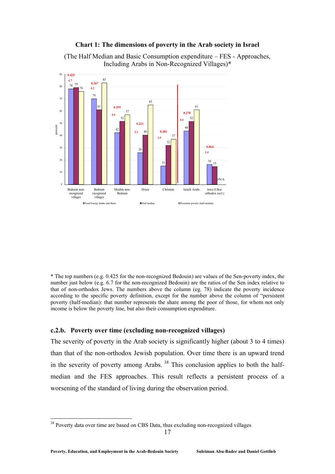# Chart 1: The dimensions of poverty in the Arab society in Israel



(The Half Median and Basic Consumption expenditure – FES - Approaches, Including Arabs in Non-Recognized Villages)\*

\* The top numbers (e.g. 0.425 for the non-recognized Bedouin) are values of the Sen-poverty index, the number just below (e.g. 6.7 for the non-recognized Bedouin) are the ratios of the Sen index relative to that of non-orthodox Jews. The numbers above the column (eg. 78) indicate the poverty incidence according to the specific poverty definition, except for the number above the column of "persistent poverty (half-median): that number represents the share among the poor of those, for whom not only income is below the poverty line, but also their consumption expenditure.

### c.2.b. Poverty over time (excluding non-recognized villages)

The severity of poverty in the Arab society is significantly higher (about 3 to 4 times) than that of the non-orthodox Jewish population. Over time there is an upward trend in the severity of poverty among Arabs.<sup>38</sup> This conclusion applies to both the halfmedian and the FES approaches. This result reflects a persistent process of a worsening of the standard of living during the observation period.

 $38$  Poverty data over time are based on CBS Data, thus excluding non-recognized villages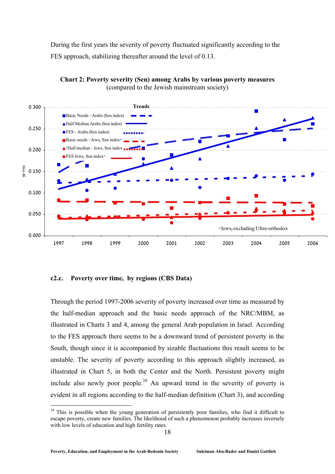During the first years the severity of poverty fluctuated significantly according to the FES approach, stabilizing thereafter around the level of 0.13.





### c2.c. Poverty over time, by regions (CBS Data)

Through the period 1997-2006 severity of poverty increased over time as measured by the half-median approach and the basic needs approach of the NRC/MBM, as illustrated in Charts 3 and 4, among the general Arab population in Israel. According to the FES approach there seems to be a downward trend of persistent poverty in the South, though since it is accompanied by sizable fluctuations this result seems to be unstable. The severity of poverty according to this approach slightly increased, as illustrated in Chart 5, in both the Center and the North. Persistent poverty might include also newly poor people.<sup>39</sup> An upward trend in the severity of poverty is evident in all regions according to the half-median definition (Chart 3), and according

 $39$  This is possible when the young generation of persistently poor families, who find it difficult to escape poverty, create new families. The likelihood of such a phenomenon probably increases inversely with low levels of education and high fertility rates.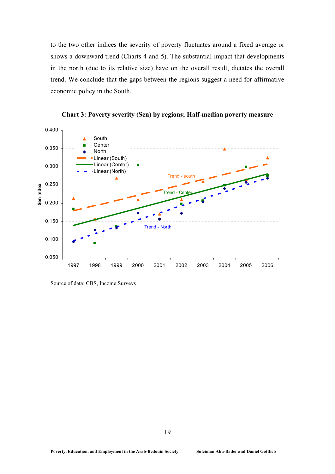to the two other indices the severity of poverty fluctuates around a fixed average or shows a downward trend (Charts 4 and 5). The substantial impact that developments in the north (due to its relative size) have on the overall result, dictates the overall trend. We conclude that the gaps between the regions suggest a need for affirmative economic policy in the South.



Chart 3: Poverty severity (Sen) by regions; Half-median poverty measure

Source of data: CBS, Income Surveys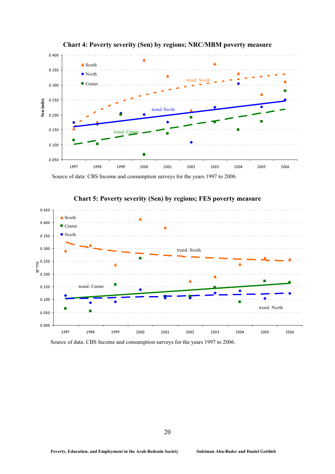





Chart 5: Poverty severity (Sen) by regions; FES poverty measure

Source of data: CBS Income and consumption surveys for the years 1997 to 2006.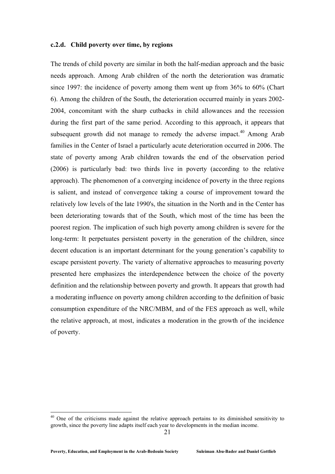### c.2.d. Child poverty over time, by regions

The trends of child poverty are similar in both the half-median approach and the basic needs approach. Among Arab children of the north the deterioration was dramatic since 1997: the incidence of poverty among them went up from 36% to 60% (Chart 6). Among the children of the South, the deterioration occurred mainly in years 2002- 2004, concomitant with the sharp cutbacks in child allowances and the recession during the first part of the same period. According to this approach, it appears that subsequent growth did not manage to remedy the adverse impact.<sup>40</sup> Among Arab families in the Center of Israel a particularly acute deterioration occurred in 2006. The state of poverty among Arab children towards the end of the observation period (2006) is particularly bad: two thirds live in poverty (according to the relative approach). The phenomenon of a converging incidence of poverty in the three regions is salient, and instead of convergence taking a course of improvement toward the relatively low levels of the late 1990's, the situation in the North and in the Center has been deteriorating towards that of the South, which most of the time has been the poorest region. The implication of such high poverty among children is severe for the long-term: It perpetuates persistent poverty in the generation of the children, since decent education is an important determinant for the young generation's capability to escape persistent poverty. The variety of alternative approaches to measuring poverty presented here emphasizes the interdependence between the choice of the poverty definition and the relationship between poverty and growth. It appears that growth had a moderating influence on poverty among children according to the definition of basic consumption expenditure of the NRC/MBM, and of the FES approach as well, while the relative approach, at most, indicates a moderation in the growth of the incidence of poverty.

 $40$  One of the criticisms made against the relative approach pertains to its diminished sensitivity to growth, since the poverty line adapts itself each year to developments in the median income.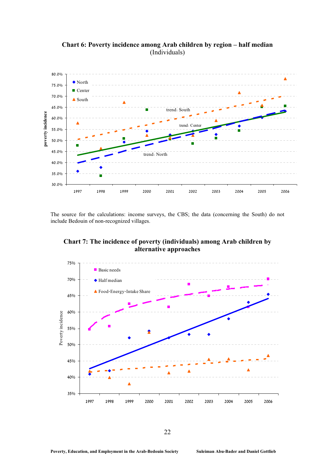

Chart 6: Poverty incidence among Arab children by region – half median (Individuals)

The source for the calculations: income surveys, the CBS; the data (concerning the South) do not include Bedouin of non-recognized villages.

Chart 7: The incidence of poverty (individuals) among Arab children by alternative approaches



22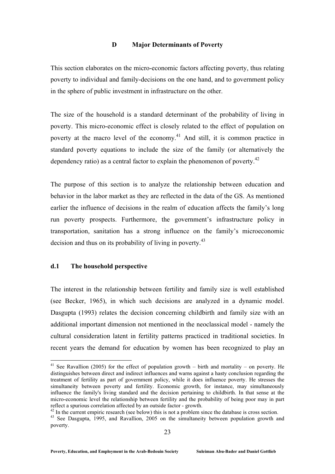### D Major Determinants of Poverty

This section elaborates on the micro-economic factors affecting poverty, thus relating poverty to individual and family-decisions on the one hand, and to government policy in the sphere of public investment in infrastructure on the other.

The size of the household is a standard determinant of the probability of living in poverty. This micro-economic effect is closely related to the effect of population on poverty at the macro level of the economy.<sup>41</sup> And still, it is common practice in standard poverty equations to include the size of the family (or alternatively the dependency ratio) as a central factor to explain the phenomenon of poverty.<sup>42</sup>

The purpose of this section is to analyze the relationship between education and behavior in the labor market as they are reflected in the data of the GS. As mentioned earlier the influence of decisions in the realm of education affects the family's long run poverty prospects. Furthermore, the government's infrastructure policy in transportation, sanitation has a strong influence on the family's microeconomic decision and thus on its probability of living in poverty.<sup>43</sup>

### d.1 The household perspective

 $\overline{a}$ 

The interest in the relationship between fertility and family size is well established (see Becker, 1965), in which such decisions are analyzed in a dynamic model. Dasgupta (1993) relates the decision concerning childbirth and family size with an additional important dimension not mentioned in the neoclassical model - namely the cultural consideration latent in fertility patterns practiced in traditional societies. In recent years the demand for education by women has been recognized to play an

<sup>&</sup>lt;sup>41</sup> See Ravallion (2005) for the effect of population growth – birth and mortality – on poverty. He distinguishes between direct and indirect influences and warns against a hasty conclusion regarding the treatment of fertility as part of government policy, while it does influence poverty. He stresses the simultaneity between poverty and fertility. Economic growth, for instance, may simultaneously influence the family's living standard and the decision pertaining to childbirth. In that sense at the micro-economic level the relationship between fertility and the probability of being poor may in part reflect a spurious correlation affected by an outside factor - growth.

 $^{42}$  In the current empiric research (see below) this is not a problem since the database is cross section.<br><sup>43</sup> See Dasgupta, 1995, and Ravallion, 2005 on the simultaneity between population growth and poverty.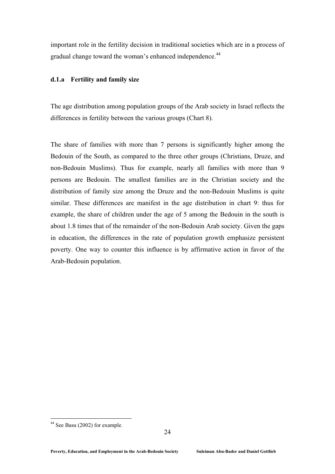important role in the fertility decision in traditional societies which are in a process of gradual change toward the woman's enhanced independence.<sup>44</sup>

# d.1.a Fertility and family size

The age distribution among population groups of the Arab society in Israel reflects the differences in fertility between the various groups (Chart 8).

The share of families with more than 7 persons is significantly higher among the Bedouin of the South, as compared to the three other groups (Christians, Druze, and non-Bedouin Muslims). Thus for example, nearly all families with more than 9 persons are Bedouin. The smallest families are in the Christian society and the distribution of family size among the Druze and the non-Bedouin Muslims is quite similar. These differences are manifest in the age distribution in chart 9: thus for example, the share of children under the age of 5 among the Bedouin in the south is about 1.8 times that of the remainder of the non-Bedouin Arab society. Given the gaps in education, the differences in the rate of population growth emphasize persistent poverty. One way to counter this influence is by affirmative action in favor of the Arab-Bedouin population.

 $\overline{a}$ <sup>44</sup> See Basu (2002) for example.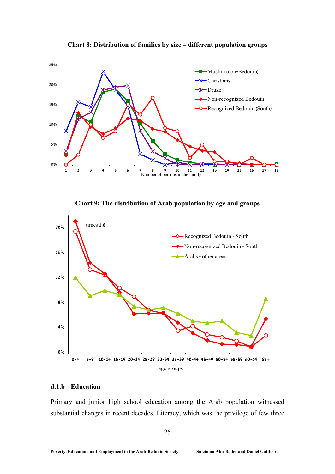



Chart 9: The distribution of Arab population by age and groups



# d.1.b Education

Primary and junior high school education among the Arab population witnessed substantial changes in recent decades. Literacy, which was the privilege of few three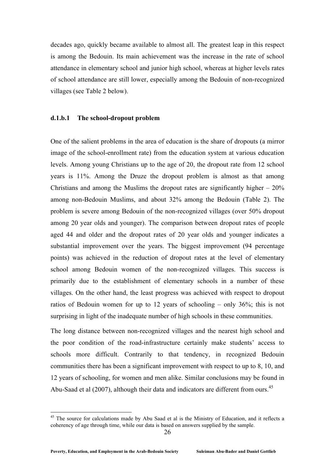decades ago, quickly became available to almost all. The greatest leap in this respect is among the Bedouin. Its main achievement was the increase in the rate of school attendance in elementary school and junior high school, whereas at higher levels rates of school attendance are still lower, especially among the Bedouin of non-recognized villages (see Table 2 below).

#### d.1.b.1 The school-dropout problem

One of the salient problems in the area of education is the share of dropouts (a mirror image of the school-enrollment rate) from the education system at various education levels. Among young Christians up to the age of 20, the dropout rate from 12 school years is 11%. Among the Druze the dropout problem is almost as that among Christians and among the Muslims the dropout rates are significantly higher  $-20\%$ among non-Bedouin Muslims, and about 32% among the Bedouin (Table 2). The problem is severe among Bedouin of the non-recognized villages (over 50% dropout among 20 year olds and younger). The comparison between dropout rates of people aged 44 and older and the dropout rates of 20 year olds and younger indicates a substantial improvement over the years. The biggest improvement (94 percentage points) was achieved in the reduction of dropout rates at the level of elementary school among Bedouin women of the non-recognized villages. This success is primarily due to the establishment of elementary schools in a number of these villages. On the other hand, the least progress was achieved with respect to dropout ratios of Bedouin women for up to 12 years of schooling – only 36%; this is not surprising in light of the inadequate number of high schools in these communities.

The long distance between non-recognized villages and the nearest high school and the poor condition of the road-infrastructure certainly make students' access to schools more difficult. Contrarily to that tendency, in recognized Bedouin communities there has been a significant improvement with respect to up to 8, 10, and 12 years of schooling, for women and men alike. Similar conclusions may be found in Abu-Saad et al (2007), although their data and indicators are different from ours.<sup>45</sup>

<sup>&</sup>lt;sup>45</sup> The source for calculations made by Abu Saad et al is the Ministry of Education, and it reflects a coherency of age through time, while our data is based on answers supplied by the sample.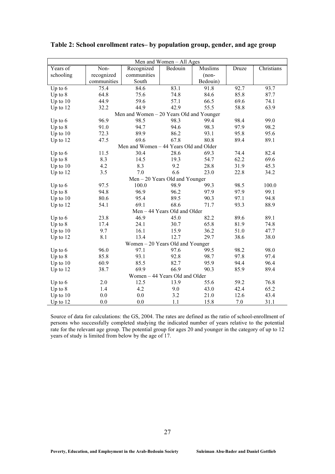| Men and Women - All Ages                 |             |                                        |                                |          |       |            |
|------------------------------------------|-------------|----------------------------------------|--------------------------------|----------|-------|------------|
| Years of                                 | Non-        | Recognized                             | Bedouin                        | Muslims  | Druze | Christians |
| schooling                                | recognized  | communities                            |                                | $(non-$  |       |            |
|                                          | communities | South                                  |                                | Bedouin) |       |            |
| Up to $6$                                | 75.4        | 84.6                                   | 83.1                           | 91.8     | 92.7  | 93.7       |
| Up to $8$                                | 64.8        | 75.6                                   | 74.8                           | 84.6     | 85.8  | 87.7       |
| Up to $10$                               | 44.9        | 59.6                                   | 57.1                           | 66.5     | 69.6  | 74.1       |
| Up to $12$                               | 32.2        | 44.9                                   | 42.9                           | 55.5     | 58.8  | 63.9       |
| Men and Women - 20 Years Old and Younger |             |                                        |                                |          |       |            |
| Up to $6$                                | 96.9        | 98.5                                   | 98.3                           | 99.4     | 98.4  | 99.0       |
| Up to $8$                                | 91.0        | 94.7                                   | 94.6                           | 98.3     | 97.9  | 98.2       |
| Up to $10$                               | 72.3        | 89.9                                   | 86.2                           | 93.1     | 95.8  | 95.6       |
| Up to $12$                               | 47.5        | 69.6                                   | 67.8                           | 80.8     | 89.4  | 89.1       |
|                                          |             | Men and Women - 44 Years Old and Older |                                |          |       |            |
| Up to $6$                                | 11.5        | 30.4                                   | 28.6                           | 69.3     | 74.4  | 82.4       |
| Up to $8$                                | 8.3         | 14.5                                   | 19.3                           | 54.7     | 62.2  | 69.6       |
| Up to $10$                               | 4.2         | 8.3                                    | 9.2                            | 28.8     | 31.9  | 45.3       |
| Up to $12$                               | 3.5         | 7.0                                    | 6.6                            | 23.0     | 22.8  | 34.2       |
|                                          |             |                                        | Men - 20 Years Old and Younger |          |       |            |
| Up to $6$                                | 97.5        | 100.0                                  | 98.9                           | 99.3     | 98.5  | 100.0      |
| Up to $8$                                | 94.8        | 96.9                                   | 96.2                           | 97.9     | 97.9  | 99.1       |
| Up to $10$                               | 80.6        | 95.4                                   | 89.5                           | 90.3     | 97.1  | 94.8       |
| Up to $12$                               | 54.1        | 69.1                                   | 68.6                           | 71.7     | 93.3  | 88.9       |
|                                          |             |                                        | Men - 44 Years Old and Older   |          |       |            |
| Up to $6$                                | 23.8        | 46.9                                   | 45.0                           | 82.2     | 89.6  | 89.1       |
| Up to $8$                                | 17.4        | 24.1                                   | 30.7                           | 65.8     | 81.9  | 74.8       |
| Up to $10$                               | 9.7         | 16.1                                   | 15.9                           | 36.2     | 51.0  | 47.7       |
| Up to 12                                 | 8.1         | 13.4                                   | 12.7                           | 29.7     | 38.6  | 38.0       |
|                                          |             | Women - 20 Years Old and Younger       |                                |          |       |            |
| Up to $6$                                | 96.0        | 97.1                                   | 97.6                           | 99.5     | 98.2  | 98.0       |
| Up to $8$                                | 85.8        | 93.1                                   | 92.8                           | 98.7     | 97.8  | 97.4       |
| Up to $10$                               | 60.9        | 85.5                                   | 82.7                           | 95.9     | 94.4  | 96.4       |
| Up to $12$                               | 38.7        | 69.9                                   | 66.9                           | 90.3     | 85.9  | 89.4       |
| Women - 44 Years Old and Older           |             |                                        |                                |          |       |            |
| Up to $6$                                | 2.0         | 12.5                                   | 13.9                           | 55.6     | 59.2  | 76.8       |
| Up to $8$                                | 1.4         | 4.2                                    | 9.0                            | 43.0     | 42.4  | 65.2       |
| Up to $10$                               | 0.0         | 0.0                                    | 3.2                            | 21.0     | 12.6  | 43.4       |
| Up to 12                                 | 0.0         | 0.0                                    | 1.1                            | 15.8     | 7.0   | 31.1       |

Table 2: School enrollment rates– by population group, gender, and age group

Source of data for calculations: the GS, 2004. The rates are defined as the ratio of school-enrollment of persons who successfully completed studying the indicated number of years relative to the potential rate for the relevant age group. The potential group for ages 20 and younger in the category of up to 12 years of study is limited from below by the age of 17.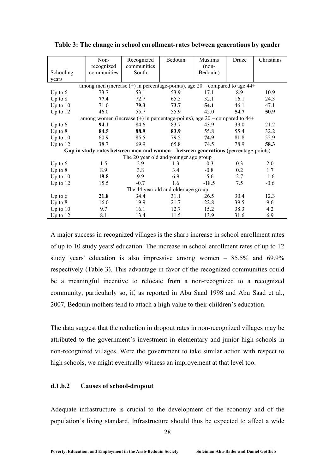|                                                                                    | Non-        | Recognized                            | Bedouin | <b>Muslims</b> | Druze | Christians |  |
|------------------------------------------------------------------------------------|-------------|---------------------------------------|---------|----------------|-------|------------|--|
|                                                                                    | recognized  | communities                           |         | $(non-$        |       |            |  |
| Schooling                                                                          | communities | South                                 |         | Bedouin)       |       |            |  |
| years                                                                              |             |                                       |         |                |       |            |  |
| among men (increase $(+)$ in percentage-points), age $20$ – compared to age $44+$  |             |                                       |         |                |       |            |  |
| Up to $6$                                                                          | 73.7        | 53.1                                  | 53.9    | 17.1           | 8.9   | 10.9       |  |
| Up to $8$                                                                          | 77.4        | 72.7                                  | 65.5    | 32.1           | 16.1  | 24.3       |  |
| Up to $10$                                                                         | 71.0        | 79.3                                  | 73.7    | 54.1           | 46.1  | 47.1       |  |
| Up to $12$                                                                         | 46.0        | 55.7                                  | 55.9    | 42.0           | 54.7  | 50.9       |  |
| among women (increase $(+)$ in percentage-points), age 20 – compared to 44+        |             |                                       |         |                |       |            |  |
| Up to $6$                                                                          | 94.1        | 84.6                                  | 83.7    | 43.9           | 39.0  | 21.2       |  |
| Up to $8$                                                                          | 84.5        | 88.9                                  | 83.9    | 55.8           | 55.4  | 32.2       |  |
| Up to $10$                                                                         | 60.9        | 85.5                                  | 79.5    | 74.9           | 81.8  | 52.9       |  |
| Up to $12$                                                                         | 38.7        | 69.9                                  | 65.8    | 74.5           | 78.9  | 58.3       |  |
| Gap in study-rates between men and women – between generations (percentage-points) |             |                                       |         |                |       |            |  |
|                                                                                    |             | The 20 year old and younger age group |         |                |       |            |  |
| Up to $6$                                                                          | 1.5         | 2.9                                   | 1.3     | $-0.3$         | 0.3   | 2.0        |  |
| Up to $8$                                                                          | 8.9         | 3.8                                   | 3.4     | $-0.8$         | 0.2   | 1.7        |  |
| Up to $10$                                                                         | 19.8        | 9.9                                   | 6.9     | $-5.6$         | 2.7   | $-1.6$     |  |
| Up to $12$                                                                         | 15.5        | $-0.7$                                | 1.6     | $-18.5$        | 7.5   | $-0.6$     |  |
| The 44 year old and older age group                                                |             |                                       |         |                |       |            |  |
| Up to $6$                                                                          | 21.8        | 34.4                                  | 31.1    | 26.5           | 30.4  | 12.3       |  |
| Up to $8$                                                                          | 16.0        | 19.9                                  | 21.7    | 22.8           | 39.5  | 9.6        |  |
| Up to $10$                                                                         | 9.7         | 16.1                                  | 12.7    | 15.2           | 38.3  | 4.2        |  |
| Up to $12$                                                                         | 8.1         | 13.4                                  | 11.5    | 13.9           | 31.6  | 6.9        |  |

Table 3: The change in school enrollment-rates between generations by gender

A major success in recognized villages is the sharp increase in school enrollment rates of up to 10 study years' education. The increase in school enrollment rates of up to 12 study years' education is also impressive among women – 85.5% and 69.9% respectively (Table 3). This advantage in favor of the recognized communities could be a meaningful incentive to relocate from a non-recognized to a recognized community, particularly so, if, as reported in Abu Saad 1998 and Abu Saad et al., 2007, Bedouin mothers tend to attach a high value to their children's education.

The data suggest that the reduction in dropout rates in non-recognized villages may be attributed to the government's investment in elementary and junior high schools in non-recognized villages. Were the government to take similar action with respect to high schools, we might eventually witness an improvement at that level too.

# d.1.b.2 Causes of school-dropout

Adequate infrastructure is crucial to the development of the economy and of the population's living standard. Infrastructure should thus be expected to affect a wide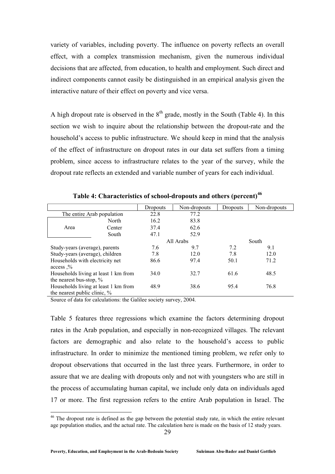variety of variables, including poverty. The influence on poverty reflects an overall effect, with a complex transmission mechanism, given the numerous individual decisions that are affected, from education, to health and employment. Such direct and indirect components cannot easily be distinguished in an empirical analysis given the interactive nature of their effect on poverty and vice versa.

A high dropout rate is observed in the  $8<sup>th</sup>$  grade, mostly in the South (Table 4). In this section we wish to inquire about the relationship between the dropout-rate and the household's access to public infrastructure. We should keep in mind that the analysis of the effect of infrastructure on dropout rates in our data set suffers from a timing problem, since access to infrastructure relates to the year of the survey, while the dropout rate reflects an extended and variable number of years for each individual.

|                                      |        | Dropouts | Non-dropouts | Dropouts | Non-dropouts |
|--------------------------------------|--------|----------|--------------|----------|--------------|
| The entire Arab population           |        | 22.8     | 77.2         |          |              |
|                                      | North  | 16.2     | 83.8         |          |              |
| Area                                 | Center | 37.4     | 62.6         |          |              |
|                                      | South  | 47.1     | 52.9         |          |              |
|                                      |        |          | All Arabs    |          | South        |
| Study-years (average), parents       |        | 7.6      | 9.7          | 7.2      | 9.1          |
| Study-years (average), children      |        | 7.8      | 12.0         | 7.8      | 12.0         |
| Households with electricity net      |        | 86.6     | 97.4         | 50.1     | 71.2         |
| access, $\frac{6}{2}$                |        |          |              |          |              |
| Households living at least 1 km from |        | 34.0     | 32.7         | 61.6     | 48.5         |
| the nearest bus-stop, $\%$           |        |          |              |          |              |
| Households living at least 1 km from |        | 48.9     | 38.6         | 95.4     | 76.8         |
| the nearest public clinic, %         |        |          |              |          |              |

Table 4: Characteristics of school-dropouts and others (percent)<sup>46</sup>

Source of data for calculations: the Galilee society survey, 2004.

Table 5 features three regressions which examine the factors determining dropout rates in the Arab population, and especially in non-recognized villages. The relevant factors are demographic and also relate to the household's access to public infrastructure. In order to minimize the mentioned timing problem, we refer only to dropout observations that occurred in the last three years. Furthermore, in order to assure that we are dealing with dropouts only and not with youngsters who are still in the process of accumulating human capital, we include only data on individuals aged 17 or more. The first regression refers to the entire Arab population in Israel. The

<sup>&</sup>lt;sup>46</sup> The dropout rate is defined as the gap between the potential study rate, in which the entire relevant age population studies, and the actual rate. The calculation here is made on the basis of 12 study years.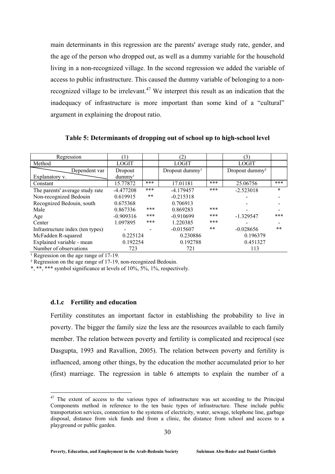main determinants in this regression are the parents' average study rate, gender, and the age of the person who dropped out, as well as a dummy variable for the household living in a non-recognized village. In the second regression we added the variable of access to public infrastructure. This caused the dummy variable of belonging to a nonrecognized village to be irrelevant.<sup>47</sup> We interpret this result as an indication that the inadequacy of infrastructure is more important than some kind of a "cultural" argument in explaining the dropout ratio.

Table 5: Determinants of dropping out of school up to high-school level

| Regression                       |                       |                      | (2)                        |       | (3)                        |        |  |
|----------------------------------|-----------------------|----------------------|----------------------------|-------|----------------------------|--------|--|
| Method                           | <b>LOGIT</b>          |                      | <b>LOGIT</b>               |       | <b>LOGIT</b>               |        |  |
| Dependent var                    | Dropout               |                      | Dropout dummy <sup>1</sup> |       | Dropout dummy <sup>2</sup> |        |  |
| Explanatory v.                   | $d$ ummy <sup>1</sup> |                      |                            |       |                            |        |  |
| Constant                         | 15.77872              | ***                  | 17.01181                   | ***   | 25.06756                   | $***$  |  |
| The parents' average study rate  | $-4.477208$           | ***                  | $-4.179457$                | ***   | $-2.523018$                | $\ast$ |  |
| Non-recognized Bedouin           | 0.619915              | $***$                | $-0.215318$                |       |                            |        |  |
| Recognized Bedouin, south        | 0.675368              |                      | 0.706913                   |       |                            |        |  |
| Male                             | 0.867336              | ***                  | 0.869283                   | ***   |                            |        |  |
| Age                              | $-0.909316$           | ***                  | $-0.910699$                | $***$ | $-1.329547$                | $***$  |  |
| Center                           | 1.097895              | ***                  | 1.220385                   | ***   |                            |        |  |
| Infrastructure index (ten types) |                       |                      | $-0.015607$                | $***$ | $-0.028656$                | $* *$  |  |
| McFadden R-squared               |                       | 0.225124<br>0.230886 |                            |       | 0.196379                   |        |  |
| Explained variable - mean        |                       | 0.192254<br>0.192788 |                            |       | 0.451327                   |        |  |
| Number of observations           | 723                   |                      | 721                        |       | 113                        |        |  |

<sup>1</sup> Regression on the age range of 17-19.

 $\overline{a}$ 

² Regression on the age range of 17-19, non-recognized Bedouin.

\*, \*\*, \*\*\* symbol significance at levels of 10%,  $5\%$ , 1%, respectively.

#### d.1.c Fertility and education

Fertility constitutes an important factor in establishing the probability to live in poverty. The bigger the family size the less are the resources available to each family member. The relation between poverty and fertility is complicated and reciprocal (see Dasgupta, 1993 and Ravallion, 2005). The relation between poverty and fertility is influenced, among other things, by the education the mother accumulated prior to her (first) marriage. The regression in table 6 attempts to explain the number of a

<sup>&</sup>lt;sup>47</sup> The extent of access to the various types of infrastructure was set according to the Principal Components method in reference to the ten basic types of infrastructure. These include public transportation services, connection to the systems of electricity, water, sewage, telephone line, garbage disposal, distance from sick funds and from a clinic, the distance from school and access to a playground or public garden.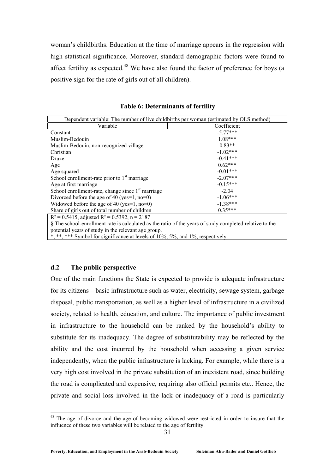woman's childbirths. Education at the time of marriage appears in the regression with high statistical significance. Moreover, standard demographic factors were found to affect fertility as expected.<sup>48</sup> We have also found the factor of preference for boys (a positive sign for the rate of girls out of all children).

| Dependent variable: The number of live childbirths per woman (estimated by OLS method)                  |             |  |  |  |  |  |
|---------------------------------------------------------------------------------------------------------|-------------|--|--|--|--|--|
| Variable                                                                                                | Coefficient |  |  |  |  |  |
| Constant                                                                                                | $-5.77***$  |  |  |  |  |  |
| Muslim-Bedouin                                                                                          | $1.08***$   |  |  |  |  |  |
| Muslim-Bedouin, non-recognized village                                                                  | $0.83**$    |  |  |  |  |  |
| Christian                                                                                               | $-1.02***$  |  |  |  |  |  |
| Druze                                                                                                   | $-0.41***$  |  |  |  |  |  |
| Age                                                                                                     | $0.62***$   |  |  |  |  |  |
| Age squared                                                                                             | $-0.01***$  |  |  |  |  |  |
| School enrollment-rate prior to $1st$ marriage                                                          | $-2.07***$  |  |  |  |  |  |
| Age at first marriage                                                                                   | $-0.15***$  |  |  |  |  |  |
| School enrollment-rate, change since $1st$ marriage                                                     | $-2.04$     |  |  |  |  |  |
| Divorced before the age of 40 (yes=1, no=0)                                                             | $-1.06***$  |  |  |  |  |  |
| Widowed before the age of 40 (yes=1, no=0)                                                              | $-1.38***$  |  |  |  |  |  |
| Share of girls out of total number of children                                                          | $0.35***$   |  |  |  |  |  |
| $R^2 = 0.5415$ , adjusted $R^2 = 0.5392$ , n = 2187                                                     |             |  |  |  |  |  |
| § The school-enrollment rate is calculated as the ratio of the years of study completed relative to the |             |  |  |  |  |  |
| potential years of study in the relevant age group.                                                     |             |  |  |  |  |  |
| *, **, *** Symbol for significance at levels of 10%, 5%, and 1%, respectively.                          |             |  |  |  |  |  |

Table 6: Determinants of fertility

#### d.2 The public perspective

 $\overline{a}$ 

One of the main functions the State is expected to provide is adequate infrastructure for its citizens – basic infrastructure such as water, electricity, sewage system, garbage disposal, public transportation, as well as a higher level of infrastructure in a civilized society, related to health, education, and culture. The importance of public investment in infrastructure to the household can be ranked by the household's ability to substitute for its inadequacy. The degree of substitutability may be reflected by the ability and the cost incurred by the household when accessing a given service independently, when the public infrastructure is lacking. For example, while there is a very high cost involved in the private substitution of an inexistent road, since building the road is complicated and expensive, requiring also official permits etc.. Hence, the private and social loss involved in the lack or inadequacy of a road is particularly

<sup>&</sup>lt;sup>48</sup> The age of divorce and the age of becoming widowed were restricted in order to insure that the influence of these two variables will be related to the age of fertility.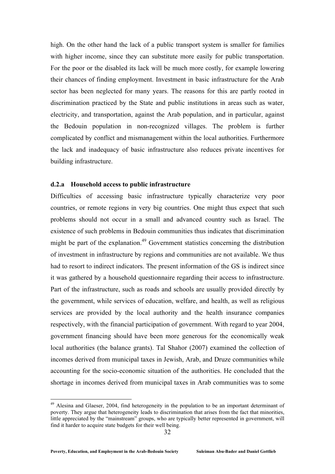high. On the other hand the lack of a public transport system is smaller for families with higher income, since they can substitute more easily for public transportation. For the poor or the disabled its lack will be much more costly, for example lowering their chances of finding employment. Investment in basic infrastructure for the Arab sector has been neglected for many years. The reasons for this are partly rooted in discrimination practiced by the State and public institutions in areas such as water, electricity, and transportation, against the Arab population, and in particular, against the Bedouin population in non-recognized villages. The problem is further complicated by conflict and mismanagement within the local authorities. Furthermore the lack and inadequacy of basic infrastructure also reduces private incentives for building infrastructure.

#### d.2.a Household access to public infrastructure

Difficulties of accessing basic infrastructure typically characterize very poor countries, or remote regions in very big countries. One might thus expect that such problems should not occur in a small and advanced country such as Israel. The existence of such problems in Bedouin communities thus indicates that discrimination might be part of the explanation.<sup>49</sup> Government statistics concerning the distribution of investment in infrastructure by regions and communities are not available. We thus had to resort to indirect indicators. The present information of the GS is indirect since it was gathered by a household questionnaire regarding their access to infrastructure. Part of the infrastructure, such as roads and schools are usually provided directly by the government, while services of education, welfare, and health, as well as religious services are provided by the local authority and the health insurance companies respectively, with the financial participation of government. With regard to year 2004, government financing should have been more generous for the economically weak local authorities (the balance grants). Tal Shahor (2007) examined the collection of incomes derived from municipal taxes in Jewish, Arab, and Druze communities while accounting for the socio-economic situation of the authorities. He concluded that the shortage in incomes derived from municipal taxes in Arab communities was to some

<sup>&</sup>lt;sup>49</sup> Alesina and Glaeser, 2004, find heterogeneity in the population to be an important determinant of poverty. They argue that heterogeneity leads to discrimination that arises from the fact that minorities, little appreciated by the "mainstream" groups, who are typically better represented in government, will find it harder to acquire state budgets for their well being.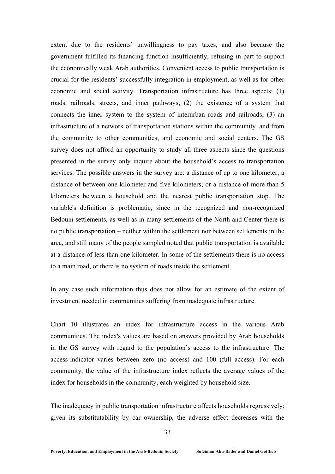extent due to the residents' unwillingness to pay taxes, and also because the government fulfilled its financing function insufficiently, refusing in part to support the economically weak Arab authorities. Convenient access to public transportation is crucial for the residents' successfully integration in employment, as well as for other economic and social activity. Transportation infrastructure has three aspects: (1) roads, railroads, streets, and inner pathways; (2) the existence of a system that connects the inner system to the system of interurban roads and railroads; (3) an infrastructure of a network of transportation stations within the community, and from the community to other communities, and economic and social centers. The GS survey does not afford an opportunity to study all three aspects since the questions presented in the survey only inquire about the household's access to transportation services. The possible answers in the survey are: a distance of up to one kilometer; a distance of between one kilometer and five kilometers; or a distance of more than 5 kilometers between a household and the nearest public transportation stop. The variable's definition is problematic, since in the recognized and non-recognized Bedouin settlements, as well as in many settlements of the North and Center there is no public transportation – neither within the settlement nor between settlements in the area, and still many of the people sampled noted that public transportation is available at a distance of less than one kilometer. In some of the settlements there is no access to a main road, or there is no system of roads inside the settlement.

In any case such information thus does not allow for an estimate of the extent of investment needed in communities suffering from inadequate infrastructure.

Chart 10 illustrates an index for infrastructure access in the various Arab communities. The index's values are based on answers provided by Arab households in the GS survey with regard to the population's access to the infrastructure. The access-indicator varies between zero (no access) and 100 (full access). For each community, the value of the infrastructure index reflects the average values of the index for households in the community, each weighted by household size.

The inadequacy in public transportation infrastructure affects households regressively: given its substitutability by car ownership, the adverse effect decreases with the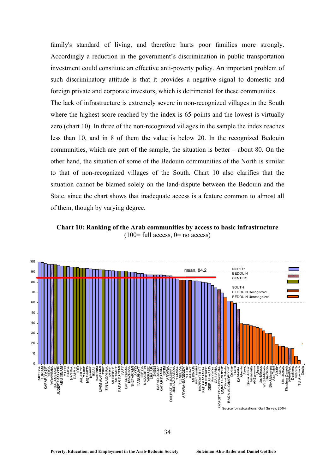family's standard of living, and therefore hurts poor families more strongly. Accordingly a reduction in the government's discrimination in public transportation investment could constitute an effective anti-poverty policy. An important problem of such discriminatory attitude is that it provides a negative signal to domestic and foreign private and corporate investors, which is detrimental for these communities.

The lack of infrastructure is extremely severe in non-recognized villages in the South where the highest score reached by the index is 65 points and the lowest is virtually zero (chart 10). In three of the non-recognized villages in the sample the index reaches less than 10, and in 8 of them the value is below 20. In the recognized Bedouin communities, which are part of the sample, the situation is better – about 80. On the other hand, the situation of some of the Bedouin communities of the North is similar to that of non-recognized villages of the South. Chart 10 also clarifies that the situation cannot be blamed solely on the land-dispute between the Bedouin and the State, since the chart shows that inadequate access is a feature common to almost all of them, though by varying degree.

Chart 10: Ranking of the Arab communities by access to basic infrastructure  $(100=$  full access,  $0=$  no access)

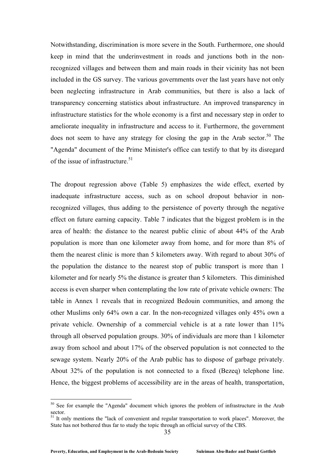Notwithstanding, discrimination is more severe in the South. Furthermore, one should keep in mind that the underinvestment in roads and junctions both in the nonrecognized villages and between them and main roads in their vicinity has not been included in the GS survey. The various governments over the last years have not only been neglecting infrastructure in Arab communities, but there is also a lack of transparency concerning statistics about infrastructure. An improved transparency in infrastructure statistics for the whole economy is a first and necessary step in order to ameliorate inequality in infrastructure and access to it. Furthermore, the government does not seem to have any strategy for closing the gap in the Arab sector.<sup>50</sup> The "Agenda" document of the Prime Minister's office can testify to that by its disregard of the issue of infrastructure.<sup>51</sup>

The dropout regression above (Table 5) emphasizes the wide effect, exerted by inadequate infrastructure access, such as on school dropout behavior in nonrecognized villages, thus adding to the persistence of poverty through the negative effect on future earning capacity. Table 7 indicates that the biggest problem is in the area of health: the distance to the nearest public clinic of about 44% of the Arab population is more than one kilometer away from home, and for more than 8% of them the nearest clinic is more than 5 kilometers away. With regard to about 30% of the population the distance to the nearest stop of public transport is more than 1 kilometer and for nearly 5% the distance is greater than 5 kilometers. This diminished access is even sharper when contemplating the low rate of private vehicle owners: The table in Annex 1 reveals that in recognized Bedouin communities, and among the other Muslims only 64% own a car. In the non-recognized villages only 45% own a private vehicle. Ownership of a commercial vehicle is at a rate lower than 11% through all observed population groups. 30% of individuals are more than 1 kilometer away from school and about 17% of the observed population is not connected to the sewage system. Nearly 20% of the Arab public has to dispose of garbage privately. About 32% of the population is not connected to a fixed (Bezeq) telephone line. Hence, the biggest problems of accessibility are in the areas of health, transportation,

<sup>&</sup>lt;sup>50</sup> See for example the "Agenda" document which ignores the problem of infrastructure in the Arab sector.

<sup>&</sup>lt;sup>51</sup> It only mentions the "lack of convenient and regular transportation to work places". Moreover, the State has not bothered thus far to study the topic through an official survey of the CBS.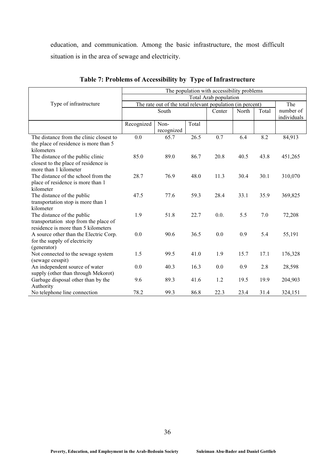education, and communication. Among the basic infrastructure, the most difficult situation is in the area of sewage and electricity.

|                                         |                                                            |            |       |        | The population with accessibility problems |       |             |  |  |
|-----------------------------------------|------------------------------------------------------------|------------|-------|--------|--------------------------------------------|-------|-------------|--|--|
|                                         | Total Arab population                                      |            |       |        |                                            |       |             |  |  |
| Type of infrastructure                  | The rate out of the total relevant population (in percent) | The        |       |        |                                            |       |             |  |  |
|                                         |                                                            | South      |       | Center | North                                      | Total | number of   |  |  |
|                                         |                                                            |            |       |        |                                            |       | individuals |  |  |
|                                         | Recognized                                                 | Non-       | Total |        |                                            |       |             |  |  |
|                                         |                                                            | recognized |       |        |                                            |       |             |  |  |
| The distance from the clinic closest to | 0.0                                                        | 65.7       | 26.5  | 0.7    | 6.4                                        | 8.2   | 84,913      |  |  |
| the place of residence is more than 5   |                                                            |            |       |        |                                            |       |             |  |  |
| kilometers                              |                                                            |            |       |        |                                            |       |             |  |  |
| The distance of the public clinic       | 85.0                                                       | 89.0       | 86.7  | 20.8   | 40.5                                       | 43.8  | 451,265     |  |  |
| closest to the place of residence is    |                                                            |            |       |        |                                            |       |             |  |  |
| more than 1 kilometer                   |                                                            |            |       |        |                                            |       |             |  |  |
| The distance of the school from the     | 28.7                                                       | 76.9       | 48.0  | 11.3   | 30.4                                       | 30.1  | 310,070     |  |  |
| place of residence is more than 1       |                                                            |            |       |        |                                            |       |             |  |  |
| kilometer                               |                                                            |            |       |        |                                            |       |             |  |  |
| The distance of the public              | 47.5                                                       | 77.6       | 59.3  | 28.4   | 33.1                                       | 35.9  | 369,825     |  |  |
| transportation stop is more than 1      |                                                            |            |       |        |                                            |       |             |  |  |
| kilometer                               |                                                            |            |       |        |                                            |       |             |  |  |
| The distance of the public              | 1.9                                                        | 51.8       | 22.7  | 0.0.   | 5.5                                        | 7.0   | 72,208      |  |  |
| transportation stop from the place of   |                                                            |            |       |        |                                            |       |             |  |  |
| residence is more than 5 kilometers     |                                                            |            |       |        |                                            |       |             |  |  |
| A source other than the Electric Corp.  | 0.0                                                        | 90.6       | 36.5  | 0.0    | 0.9                                        | 5.4   | 55,191      |  |  |
| for the supply of electricity           |                                                            |            |       |        |                                            |       |             |  |  |
| (generator)                             |                                                            |            |       |        |                                            |       |             |  |  |
| Not connected to the sewage system      | 1.5                                                        | 99.5       | 41.0  | 1.9    | 15.7                                       | 17.1  | 176,328     |  |  |
| (sewage cesspit)                        |                                                            |            |       |        |                                            |       |             |  |  |
| An independent source of water          | 0.0                                                        | 40.3       | 16.3  | 0.0    | 0.9                                        | 2.8   | 28,598      |  |  |
| supply (other than through Mekorot)     |                                                            |            |       |        |                                            |       |             |  |  |
| Garbage disposal other than by the      | 9.6                                                        | 89.3       | 41.6  | 1.2    | 19.5                                       | 19.9  | 204,903     |  |  |
| Authority                               |                                                            |            |       |        |                                            |       |             |  |  |
| No telephone line connection            | 78.2                                                       | 99.3       | 86.8  | 22.3   | 23.4                                       | 31.4  | 324,151     |  |  |

Table 7: Problems of Accessibility by Type of Infrastructure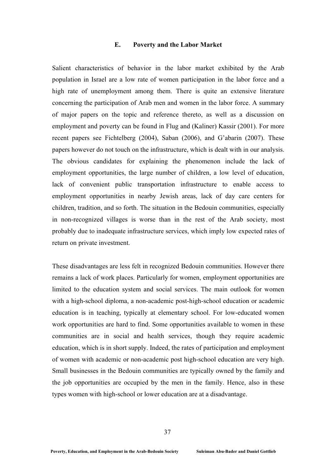### E. Poverty and the Labor Market

Salient characteristics of behavior in the labor market exhibited by the Arab population in Israel are a low rate of women participation in the labor force and a high rate of unemployment among them. There is quite an extensive literature concerning the participation of Arab men and women in the labor force. A summary of major papers on the topic and reference thereto, as well as a discussion on employment and poverty can be found in Flug and (Kaliner) Kassir (2001). For more recent papers see Fichtelberg (2004), Saban (2006), and G'abarin (2007). These papers however do not touch on the infrastructure, which is dealt with in our analysis. The obvious candidates for explaining the phenomenon include the lack of employment opportunities, the large number of children, a low level of education, lack of convenient public transportation infrastructure to enable access to employment opportunities in nearby Jewish areas, lack of day care centers for children, tradition, and so forth. The situation in the Bedouin communities, especially in non-recognized villages is worse than in the rest of the Arab society, most probably due to inadequate infrastructure services, which imply low expected rates of return on private investment.

These disadvantages are less felt in recognized Bedouin communities. However there remains a lack of work places. Particularly for women, employment opportunities are limited to the education system and social services. The main outlook for women with a high-school diploma, a non-academic post-high-school education or academic education is in teaching, typically at elementary school. For low-educated women work opportunities are hard to find. Some opportunities available to women in these communities are in social and health services, though they require academic education, which is in short supply. Indeed, the rates of participation and employment of women with academic or non-academic post high-school education are very high. Small businesses in the Bedouin communities are typically owned by the family and the job opportunities are occupied by the men in the family. Hence, also in these types women with high-school or lower education are at a disadvantage.

37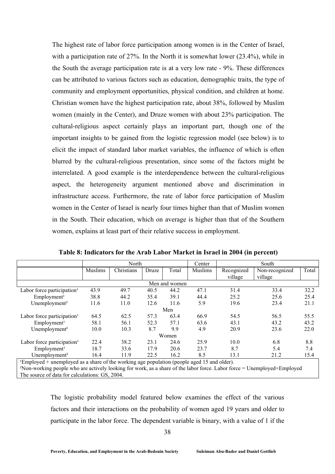The highest rate of labor force participation among women is in the Center of Israel, with a participation rate of 27%. In the North it is somewhat lower (23.4%), while in the South the average participation rate is at a very low rate - 9%. These differences can be attributed to various factors such as education, demographic traits, the type of community and employment opportunities, physical condition, and children at home. Christian women have the highest participation rate, about 38%, followed by Muslim women (mainly in the Center), and Druze women with about 23% participation. The cultural-religious aspect certainly plays an important part, though one of the important insights to be gained from the logistic regression model (see below) is to elicit the impact of standard labor market variables, the influence of which is often blurred by the cultural-religious presentation, since some of the factors might be interrelated. A good example is the interdependence between the cultural-religious aspect, the heterogeneity argument mentioned above and discrimination in infrastructure access. Furthermore, the rate of labor force participation of Muslim women in the Center of Israel is nearly four times higher than that of Muslim women in the South. Their education, which on average is higher than that of the Southern women, explains at least part of their relative success in employment.

|                                                                                                         | North          |            |       | Center        | South   |            |                |       |
|---------------------------------------------------------------------------------------------------------|----------------|------------|-------|---------------|---------|------------|----------------|-------|
|                                                                                                         | <b>Muslims</b> | Christians | Druze | Total         | Muslims | Recognized | Non-recognized | Total |
|                                                                                                         |                |            |       |               |         | village    | village        |       |
|                                                                                                         |                |            |       | Men and women |         |            |                |       |
| Labor force participation <sup>1</sup>                                                                  | 43.9           | 49.7       | 40.5  | 44.2          | 47.1    | 31.4       | 33.4           | 32.2  |
| Emplovement <sup>1</sup>                                                                                | 38.8           | 44.2       | 35.4  | 39.1          | 44.4    | 25.2       | 25.6           | 25.4  |
| Unemployment <sup>2</sup>                                                                               | 11.6           | 11.0       | 12.6  | 11.6          | 5.9     | 19.6       | 23.4           | 21.1  |
|                                                                                                         |                |            |       | Men           |         |            |                |       |
| Labor force participation <sup>1</sup>                                                                  | 64.5           | 62.5       | 57.3  | 63.4          | 66.9    | 54.5       | 56.5           | 55.5  |
| Employment <sup>1</sup>                                                                                 | 58.1           | 56.1       | 52.3  | 57.1          | 63.6    | 43.1       | 43.2           | 43.2  |
| Unemployment <sup>2</sup>                                                                               | 10.0           | 10.3       | 8.7   | 9.9           | 4.9     | 20.9       | 23.6           | 22.0  |
| Women                                                                                                   |                |            |       |               |         |            |                |       |
| Labor force participation <sup>1</sup>                                                                  | 22.4           | 38.2       | 23.1  | 24.6          | 25.9    | 10.0       | 6.8            | 8.8   |
| Employment <sup>1</sup>                                                                                 | 18.7           | 33.6       | 17.9  | 20.6          | 23.7    | 8.7        | 5.4            | 7.4   |
| Unemployment <sup>2</sup>                                                                               | 16.4           | 11.9       | 22.5  | 16.2          | 8.5     | 13.1       | 21.2           | 15.4  |
| <sup>1</sup> Employed + unemployed as a share of the working age population (people aged 15 and older). |                |            |       |               |         |            |                |       |

Table 8: Indicators for the Arab Labor Market in Israel in 2004 (in percent)

²Non-working people who are actively looking for work, as a share of the labor force. Labor force = Unemployed+Employed The source of data for calculations: GS, 2004.

> The logistic probability model featured below examines the effect of the various factors and their interactions on the probability of women aged 19 years and older to participate in the labor force. The dependent variable is binary, with a value of 1 if the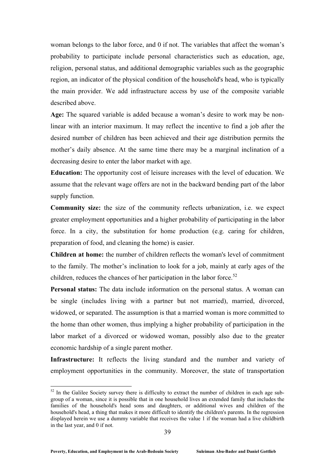woman belongs to the labor force, and 0 if not. The variables that affect the woman's probability to participate include personal characteristics such as education, age, religion, personal status, and additional demographic variables such as the geographic region, an indicator of the physical condition of the household's head, who is typically the main provider. We add infrastructure access by use of the composite variable described above.

Age: The squared variable is added because a woman's desire to work may be nonlinear with an interior maximum. It may reflect the incentive to find a job after the desired number of children has been achieved and their age distribution permits the mother's daily absence. At the same time there may be a marginal inclination of a decreasing desire to enter the labor market with age.

Education: The opportunity cost of leisure increases with the level of education. We assume that the relevant wage offers are not in the backward bending part of the labor supply function.

Community size: the size of the community reflects urbanization, i.e. we expect greater employment opportunities and a higher probability of participating in the labor force. In a city, the substitution for home production (e.g. caring for children, preparation of food, and cleaning the home) is easier.

Children at home: the number of children reflects the woman's level of commitment to the family. The mother's inclination to look for a job, mainly at early ages of the children, reduces the chances of her participation in the labor force.<sup>52</sup>

Personal status: The data include information on the personal status. A woman can be single (includes living with a partner but not married), married, divorced, widowed, or separated. The assumption is that a married woman is more committed to the home than other women, thus implying a higher probability of participation in the labor market of a divorced or widowed woman, possibly also due to the greater economic hardship of a single parent mother.

Infrastructure: It reflects the living standard and the number and variety of employment opportunities in the community. Moreover, the state of transportation

 $52$  In the Galilee Society survey there is difficulty to extract the number of children in each age subgroup of a woman, since it is possible that in one household lives an extended family that includes the families of the household's head sons and daughters, or additional wives and children of the household's head, a thing that makes it more difficult to identify the children's parents. In the regression displayed herein we use a dummy variable that receives the value 1 if the woman had a live childbirth in the last year, and 0 if not.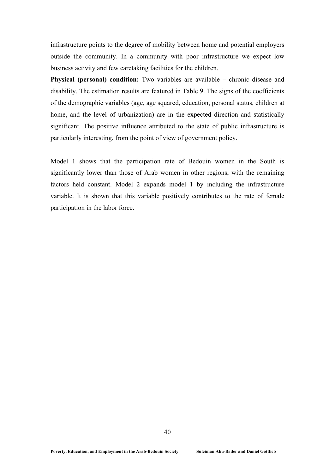infrastructure points to the degree of mobility between home and potential employers outside the community. In a community with poor infrastructure we expect low business activity and few caretaking facilities for the children.

Physical (personal) condition: Two variables are available – chronic disease and disability. The estimation results are featured in Table 9. The signs of the coefficients of the demographic variables (age, age squared, education, personal status, children at home, and the level of urbanization) are in the expected direction and statistically significant. The positive influence attributed to the state of public infrastructure is particularly interesting, from the point of view of government policy.

Model 1 shows that the participation rate of Bedouin women in the South is significantly lower than those of Arab women in other regions, with the remaining factors held constant. Model 2 expands model 1 by including the infrastructure variable. It is shown that this variable positively contributes to the rate of female participation in the labor force.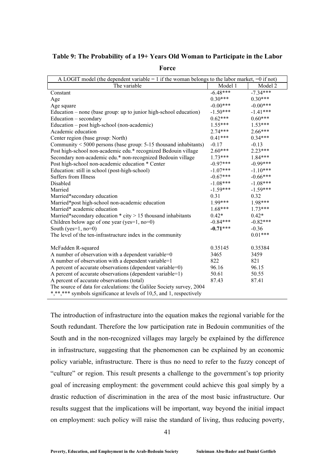#### Table 9: The Probability of a 19+ Years Old Woman to Participate in the Labor

| A LOGIT model (the dependent variable = 1 if the woman belongs to the labor market, = 0 if not) |            |            |  |  |  |  |
|-------------------------------------------------------------------------------------------------|------------|------------|--|--|--|--|
| The variable                                                                                    | Model 1    | Model 2    |  |  |  |  |
| Constant                                                                                        | $-6.48***$ | $-7.34***$ |  |  |  |  |
| Age                                                                                             | $0.30***$  | $0.30***$  |  |  |  |  |
| Age square                                                                                      | $-0.00***$ | $-0.00***$ |  |  |  |  |
| Education – none (base group: up to junior high-school education)                               | $-1.50***$ | $-1.41***$ |  |  |  |  |
| Education - secondary                                                                           | $0.62***$  | $0.60***$  |  |  |  |  |
| Education - post high-school (non-academic)                                                     | $1.55***$  | $1.53***$  |  |  |  |  |
| Academic education                                                                              | $2.74***$  | $2.66***$  |  |  |  |  |
| Center region (base group: North)                                                               | $0.41***$  | $0.34***$  |  |  |  |  |
| Community < 5000 persons (base group: 5-15 thousand inhabitants)                                | $-0.17$    | $-0.13$    |  |  |  |  |
| Post high-school non-academic edu.* recognized Bedouin village                                  | $2.60***$  | $2.23***$  |  |  |  |  |
| Secondary non-academic edu.* non-recognized Bedouin village                                     | $1.73***$  | $1.84***$  |  |  |  |  |
| Post high-school non-academic education * Center                                                | $-0.97***$ | $-0.99***$ |  |  |  |  |
| Education: still in school (post-high-school)                                                   | $-1.07***$ | $-1.10***$ |  |  |  |  |
| Suffers from Illness                                                                            | $-0.67***$ | $-0.66***$ |  |  |  |  |
| Disabled                                                                                        | $-1.08***$ | $-1.08***$ |  |  |  |  |
| Married                                                                                         | $-1.59***$ | $-1.59***$ |  |  |  |  |
| Married*secondary education                                                                     | 0.31       | 0.32       |  |  |  |  |
| Married*post high-school non-academic education                                                 | $1.99***$  | 1.98***    |  |  |  |  |
| Married* academic education                                                                     | $1.68***$  | $1.73***$  |  |  |  |  |
| Married*secondary education $*$ city > 15 thousand inhabitants                                  | $0.42*$    | $0.42*$    |  |  |  |  |
| Children below age of one year (yes=1, no=0)                                                    | $-0.84***$ | $-0.82***$ |  |  |  |  |
| South (yes= $1$ , no= $0$ )                                                                     | $-0.71***$ | $-0.36$    |  |  |  |  |
| The level of the ten-infrastructure index in the community                                      |            | $0.01***$  |  |  |  |  |
| McFadden R-squared                                                                              | 0.35145    | 0.35384    |  |  |  |  |
| A number of observation with a dependent variable=0                                             | 3465       | 3459       |  |  |  |  |
| A number of observation with a dependent variable=1                                             | 822        | 821        |  |  |  |  |
| A percent of accurate observations (dependent variable=0)                                       | 96.16      | 96.15      |  |  |  |  |
| A percent of accurate observations (dependent variable=1)                                       | 50.61      | 50.55      |  |  |  |  |
| A percent of accurate observations (total)                                                      | 87.43      | 87.41      |  |  |  |  |
| The source of data for calculations: the Galilee Society survey, 2004                           |            |            |  |  |  |  |
| *,**,*** symbols significance at levels of 10,5, and 1, respectively                            |            |            |  |  |  |  |
|                                                                                                 |            |            |  |  |  |  |

Force

The introduction of infrastructure into the equation makes the regional variable for the South redundant. Therefore the low participation rate in Bedouin communities of the South and in the non-recognized villages may largely be explained by the difference in infrastructure, suggesting that the phenomenon can be explained by an economic policy variable, infrastructure. There is thus no need to refer to the fuzzy concept of "culture" or region. This result presents a challenge to the government's top priority goal of increasing employment: the government could achieve this goal simply by a drastic reduction of discrimination in the area of the most basic infrastructure. Our results suggest that the implications will be important, way beyond the initial impact on employment: such policy will raise the standard of living, thus reducing poverty,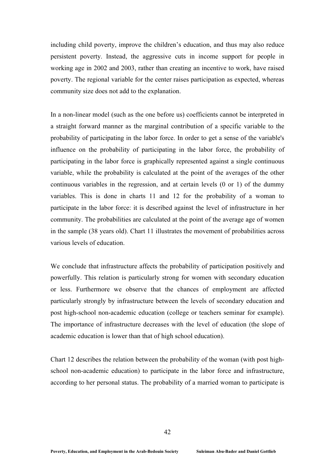including child poverty, improve the children's education, and thus may also reduce persistent poverty. Instead, the aggressive cuts in income support for people in working age in 2002 and 2003, rather than creating an incentive to work, have raised poverty. The regional variable for the center raises participation as expected, whereas community size does not add to the explanation.

In a non-linear model (such as the one before us) coefficients cannot be interpreted in a straight forward manner as the marginal contribution of a specific variable to the probability of participating in the labor force. In order to get a sense of the variable's influence on the probability of participating in the labor force, the probability of participating in the labor force is graphically represented against a single continuous variable, while the probability is calculated at the point of the averages of the other continuous variables in the regression, and at certain levels (0 or 1) of the dummy variables. This is done in charts 11 and 12 for the probability of a woman to participate in the labor force: it is described against the level of infrastructure in her community. The probabilities are calculated at the point of the average age of women in the sample (38 years old). Chart 11 illustrates the movement of probabilities across various levels of education.

We conclude that infrastructure affects the probability of participation positively and powerfully. This relation is particularly strong for women with secondary education or less. Furthermore we observe that the chances of employment are affected particularly strongly by infrastructure between the levels of secondary education and post high-school non-academic education (college or teachers seminar for example). The importance of infrastructure decreases with the level of education (the slope of academic education is lower than that of high school education).

Chart 12 describes the relation between the probability of the woman (with post highschool non-academic education) to participate in the labor force and infrastructure, according to her personal status. The probability of a married woman to participate is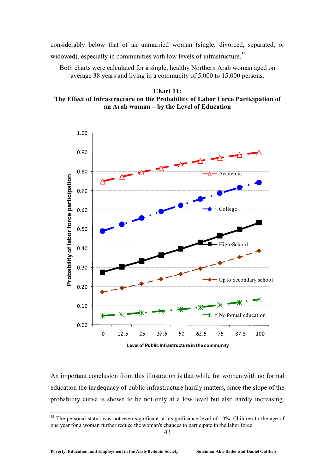considerably below that of an unmarried woman (single, divorced, separated, or widowed), especially in communities with low levels of infrastructure.<sup>53</sup>

Both charts were calculated for a single, healthy Northern Arab woman aged on average 38 years and living in a community of 5,000 to 15,000 persons.

Chart 11: The Effect of Infrastructure on the Probability of Labor Force Participation of an Arab woman – by the Level of Education



Level of Public Infrastructure in the community

An important conclusion from this illustration is that while for women with no formal education the inadequacy of public infrastructure hardly matters, since the slope of the probability curve is shown to be not only at a low level but also hardly increasing.

<sup>&</sup>lt;sup>53</sup> The personal status was not even significant at a significance level of 10%. Children to the age of one year for a woman further reduce the woman's chances to participate in the labor force.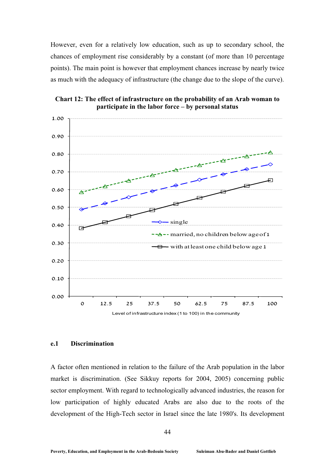However, even for a relatively low education, such as up to secondary school, the chances of employment rise considerably by a constant (of more than 10 percentage points). The main point is however that employment chances increase by nearly twice as much with the adequacy of infrastructure (the change due to the slope of the curve).

Chart 12: The effect of infrastructure on the probability of an Arab woman to participate in the labor force – by personal status



# e.1 Discrimination

A factor often mentioned in relation to the failure of the Arab population in the labor market is discrimination. (See Sikkuy reports for 2004, 2005) concerning public sector employment. With regard to technologically advanced industries, the reason for low participation of highly educated Arabs are also due to the roots of the development of the High-Tech sector in Israel since the late 1980's. Its development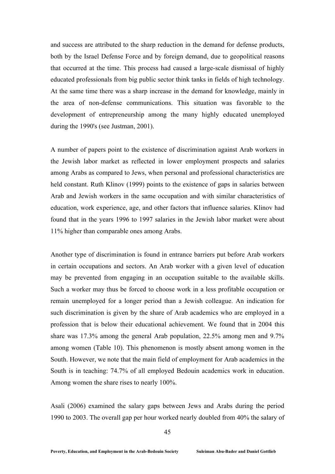and success are attributed to the sharp reduction in the demand for defense products, both by the Israel Defense Force and by foreign demand, due to geopolitical reasons that occurred at the time. This process had caused a large-scale dismissal of highly educated professionals from big public sector think tanks in fields of high technology. At the same time there was a sharp increase in the demand for knowledge, mainly in the area of non-defense communications. This situation was favorable to the development of entrepreneurship among the many highly educated unemployed during the 1990's (see Justman, 2001).

A number of papers point to the existence of discrimination against Arab workers in the Jewish labor market as reflected in lower employment prospects and salaries among Arabs as compared to Jews, when personal and professional characteristics are held constant. Ruth Klinov (1999) points to the existence of gaps in salaries between Arab and Jewish workers in the same occupation and with similar characteristics of education, work experience, age, and other factors that influence salaries. Klinov had found that in the years 1996 to 1997 salaries in the Jewish labor market were about 11% higher than comparable ones among Arabs.

Another type of discrimination is found in entrance barriers put before Arab workers in certain occupations and sectors. An Arab worker with a given level of education may be prevented from engaging in an occupation suitable to the available skills. Such a worker may thus be forced to choose work in a less profitable occupation or remain unemployed for a longer period than a Jewish colleague. An indication for such discrimination is given by the share of Arab academics who are employed in a profession that is below their educational achievement. We found that in 2004 this share was 17.3% among the general Arab population, 22.5% among men and 9.7% among women (Table 10). This phenomenon is mostly absent among women in the South. However, we note that the main field of employment for Arab academics in the South is in teaching: 74.7% of all employed Bedouin academics work in education. Among women the share rises to nearly 100%.

Asali (2006) examined the salary gaps between Jews and Arabs during the period 1990 to 2003. The overall gap per hour worked nearly doubled from 40% the salary of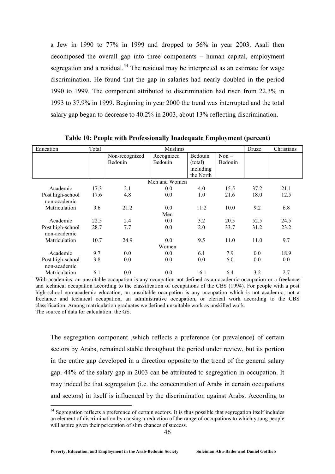a Jew in 1990 to 77% in 1999 and dropped to 56% in year 2003. Asali then decomposed the overall gap into three components – human capital, employment segregation and a residual.<sup>54</sup> The residual may be interpreted as an estimate for wage discrimination. He found that the gap in salaries had nearly doubled in the period 1990 to 1999. The component attributed to discrimination had risen from 22.3% in 1993 to 37.9% in 1999. Beginning in year 2000 the trend was interrupted and the total salary gap began to decrease to 40.2% in 2003, about 13% reflecting discrimination.

| Education        | Total | <b>Muslims</b> |               |           |         |      | Christians |
|------------------|-------|----------------|---------------|-----------|---------|------|------------|
|                  |       | Non-recognized | Recognized    | Bedouin   | $Non-$  |      |            |
|                  |       | Bedouin        | Bedouin       | (total)   | Bedouin |      |            |
|                  |       |                |               | including |         |      |            |
|                  |       |                |               | the North |         |      |            |
|                  |       |                | Men and Women |           |         |      |            |
| Academic         | 17.3  | 2.1            | 0.0           | 4.0       | 15.5    | 37.2 | 21.1       |
| Post high-school | 17.6  | 4.8            | 0.0           | 1.0       | 21.6    | 18.0 | 12.5       |
| non-academic     |       |                |               |           |         |      |            |
| Matriculation    | 9.6   | 21.2           | 0.0           | 11.2      | 10.0    | 9.2  | 6.8        |
|                  |       |                | Men           |           |         |      |            |
| Academic         | 22.5  | 2.4            | 0.0           | 3.2       | 20.5    | 52.5 | 24.5       |
| Post high-school | 28.7  | 7.7            | 0.0           | 2.0       | 33.7    | 31.2 | 23.2       |
| non-academic     |       |                |               |           |         |      |            |
| Matriculation    | 10.7  | 24.9           | 0.0           | 9.5       | 11.0    | 11.0 | 9.7        |
|                  |       |                | Women         |           |         |      |            |
| Academic         | 9.7   | 0.0            | 0.0           | 6.1       | 7.9     | 0.0  | 18.9       |
| Post high-school | 3.8   | 0.0            | 0.0           | 0.0       | 6.0     | 0.0  | 0.0        |
| non-academic     |       |                |               |           |         |      |            |
| Matriculation    | 6.1   | 0.0            | 0.0           | 16.1      | 6.4     | 3.2  | 2.7        |

Table 10: People with Professionally Inadequate Employment (percent)

With academics, an unsuitable occupation is any occupation not defined as an academic occupation or a freelance and technical occupation according to the classification of occupations of the CBS (1994). For people with a post high-school non-academic education, an unsuitable occupation is any occupation which is not academic, not a freelance and technical occupation, an administrative occupation, or clerical work according to the CBS classification. Among matriculation graduates we defined unsuitable work as unskilled work. The source of data for calculation: the GS.

The segregation component ,which reflects a preference (or prevalence) of certain sectors by Arabs, remained stable throughout the period under review, but its portion in the entire gap developed in a direction opposite to the trend of the general salary gap. 44% of the salary gap in 2003 can be attributed to segregation in occupation. It may indeed be that segregation (i.e. the concentration of Arabs in certain occupations and sectors) in itself is influenced by the discrimination against Arabs. According to

<sup>&</sup>lt;sup>54</sup> Segregation reflects a preference of certain sectors. It is thus possible that segregation itself includes an element of discrimination by causing a reduction of the range of occupations to which young people will aspire given their perception of slim chances of success.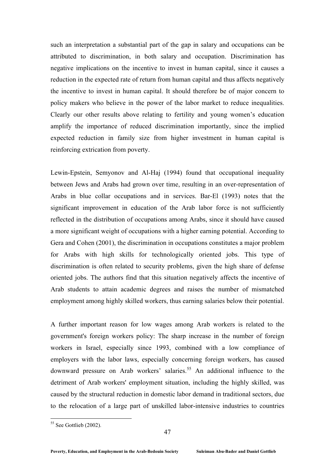such an interpretation a substantial part of the gap in salary and occupations can be attributed to discrimination, in both salary and occupation. Discrimination has negative implications on the incentive to invest in human capital, since it causes a reduction in the expected rate of return from human capital and thus affects negatively the incentive to invest in human capital. It should therefore be of major concern to policy makers who believe in the power of the labor market to reduce inequalities. Clearly our other results above relating to fertility and young women's education amplify the importance of reduced discrimination importantly, since the implied expected reduction in family size from higher investment in human capital is reinforcing extrication from poverty.

Lewin-Epstein, Semyonov and Al-Haj (1994) found that occupational inequality between Jews and Arabs had grown over time, resulting in an over-representation of Arabs in blue collar occupations and in services. Bar-El (1993) notes that the significant improvement in education of the Arab labor force is not sufficiently reflected in the distribution of occupations among Arabs, since it should have caused a more significant weight of occupations with a higher earning potential. According to Gera and Cohen (2001), the discrimination in occupations constitutes a major problem for Arabs with high skills for technologically oriented jobs. This type of discrimination is often related to security problems, given the high share of defense oriented jobs. The authors find that this situation negatively affects the incentive of Arab students to attain academic degrees and raises the number of mismatched employment among highly skilled workers, thus earning salaries below their potential.

A further important reason for low wages among Arab workers is related to the government's foreign workers policy: The sharp increase in the number of foreign workers in Israel, especially since 1993, combined with a low compliance of employers with the labor laws, especially concerning foreign workers, has caused downward pressure on Arab workers' salaries.<sup>55</sup> An additional influence to the detriment of Arab workers' employment situation, including the highly skilled, was caused by the structural reduction in domestic labor demand in traditional sectors, due to the relocation of a large part of unskilled labor-intensive industries to countries

<sup>&</sup>lt;sup>55</sup> See Gottlieb (2002).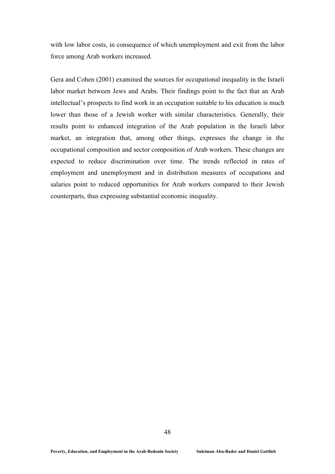with low labor costs, in consequence of which unemployment and exit from the labor force among Arab workers increased.

Gera and Cohen (2001) examined the sources for occupational inequality in the Israeli labor market between Jews and Arabs. Their findings point to the fact that an Arab intellectual's prospects to find work in an occupation suitable to his education is much lower than those of a Jewish worker with similar characteristics. Generally, their results point to enhanced integration of the Arab population in the Israeli labor market, an integration that, among other things, expresses the change in the occupational composition and sector composition of Arab workers. These changes are expected to reduce discrimination over time. The trends reflected in rates of employment and unemployment and in distribution measures of occupations and salaries point to reduced opportunities for Arab workers compared to their Jewish counterparts, thus expressing substantial economic inequality.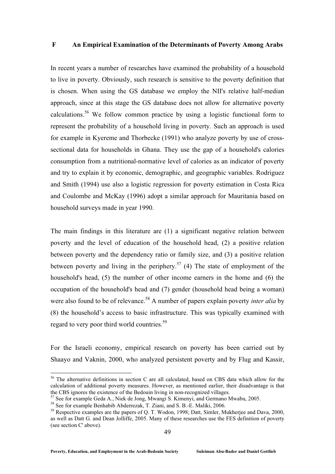#### F An Empirical Examination of the Determinants of Poverty Among Arabs

In recent years a number of researches have examined the probability of a household to live in poverty. Obviously, such research is sensitive to the poverty definition that is chosen. When using the GS database we employ the NII's relative half-median approach, since at this stage the GS database does not allow for alternative poverty calculations.<sup>56</sup> We follow common practice by using a logistic functional form to represent the probability of a household living in poverty. Such an approach is used for example in Kyereme and Thorbecke (1991) who analyze poverty by use of crosssectional data for households in Ghana. They use the gap of a household's calories consumption from a nutritional-normative level of calories as an indicator of poverty and try to explain it by economic, demographic, and geographic variables. Rodriguez and Smith (1994) use also a logistic regression for poverty estimation in Costa Rica and Coulombe and McKay (1996) adopt a similar approach for Mauritania based on household surveys made in year 1990.

The main findings in this literature are (1) a significant negative relation between poverty and the level of education of the household head, (2) a positive relation between poverty and the dependency ratio or family size, and (3) a positive relation between poverty and living in the periphery.<sup>57</sup> (4) The state of employment of the household's head, (5) the number of other income earners in the home and (6) the occupation of the household's head and (7) gender (household head being a woman) were also found to be of relevance.<sup>58</sup> A number of papers explain poverty *inter alia* by (8) the household's access to basic infrastructure. This was typically examined with regard to very poor third world countries.<sup>59</sup>

For the Israeli economy, empirical research on poverty has been carried out by Shaayo and Vaknin, 2000, who analyzed persistent poverty and by Flug and Kassir,

<sup>&</sup>lt;sup>56</sup> The alternative definitions in section C are all calculated, based on CBS data which allow for the calculation of additional poverty measures. However, as mentioned earlier, their disadvantage is that the CBS ignores the existence of the Bedouin living in non-recognized villages.

<sup>&</sup>lt;sup>57</sup> See for example Geda A., Niek de Jong, Mwangi S. Kimenyi, and Germano Mwabu, 2005.<br><sup>58</sup> See for example Benhabib Abderrezak, T. Ziani, and S. B.-E. Maliki, 2006.<br><sup>59</sup> Respective examples are the papers of O. T. Wodon

as well as Datt G. and Dean Jolliffe, 2005. Many of these researches use the FES definition of poverty (see section C' above).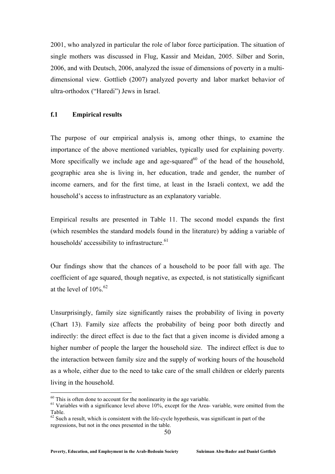2001, who analyzed in particular the role of labor force participation. The situation of single mothers was discussed in Flug, Kassir and Meidan, 2005. Silber and Sorin, 2006, and with Deutsch, 2006, analyzed the issue of dimensions of poverty in a multidimensional view. Gottlieb (2007) analyzed poverty and labor market behavior of ultra-orthodox ("Haredi") Jews in Israel.

# f.1 Empirical results

The purpose of our empirical analysis is, among other things, to examine the importance of the above mentioned variables, typically used for explaining poverty. More specifically we include age and age-squared<sup>60</sup> of the head of the household, geographic area she is living in, her education, trade and gender, the number of income earners, and for the first time, at least in the Israeli context, we add the household's access to infrastructure as an explanatory variable.

Empirical results are presented in Table 11. The second model expands the first (which resembles the standard models found in the literature) by adding a variable of households' accessibility to infrastructure.<sup>61</sup>

Our findings show that the chances of a household to be poor fall with age. The coefficient of age squared, though negative, as expected, is not statistically significant at the level of  $10\%$ <sup>62</sup>

Unsurprisingly, family size significantly raises the probability of living in poverty (Chart 13). Family size affects the probability of being poor both directly and indirectly: the direct effect is due to the fact that a given income is divided among a higher number of people the larger the household size. The indirect effect is due to the interaction between family size and the supply of working hours of the household as a whole, either due to the need to take care of the small children or elderly parents living in the household.

 $60$  This is often done to account for the nonlinearity in the age variable.

 $61$  Variables with a significance level above 10%, except for the Area- variable, were omitted from the Table.

 $62$  Such a result, which is consistent with the life-cycle hypothesis, was significant in part of the regressions, but not in the ones presented in the table.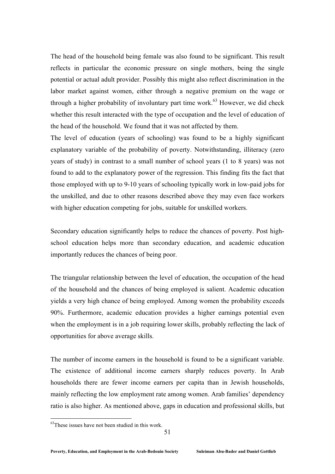The head of the household being female was also found to be significant. This result reflects in particular the economic pressure on single mothers, being the single potential or actual adult provider. Possibly this might also reflect discrimination in the labor market against women, either through a negative premium on the wage or through a higher probability of involuntary part time work. $63$  However, we did check whether this result interacted with the type of occupation and the level of education of the head of the household. We found that it was not affected by them.

The level of education (years of schooling) was found to be a highly significant explanatory variable of the probability of poverty. Notwithstanding, illiteracy (zero years of study) in contrast to a small number of school years (1 to 8 years) was not found to add to the explanatory power of the regression. This finding fits the fact that those employed with up to 9-10 years of schooling typically work in low-paid jobs for the unskilled, and due to other reasons described above they may even face workers with higher education competing for jobs, suitable for unskilled workers.

Secondary education significantly helps to reduce the chances of poverty. Post highschool education helps more than secondary education, and academic education importantly reduces the chances of being poor.

The triangular relationship between the level of education, the occupation of the head of the household and the chances of being employed is salient. Academic education yields a very high chance of being employed. Among women the probability exceeds 90%. Furthermore, academic education provides a higher earnings potential even when the employment is in a job requiring lower skills, probably reflecting the lack of opportunities for above average skills.

The number of income earners in the household is found to be a significant variable. The existence of additional income earners sharply reduces poverty. In Arab households there are fewer income earners per capita than in Jewish households, mainly reflecting the low employment rate among women. Arab families' dependency ratio is also higher. As mentioned above, gaps in education and professional skills, but

 $63$ These issues have not been studied in this work.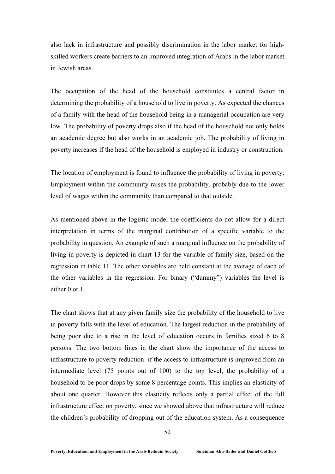also lack in infrastructure and possibly discrimination in the labor market for highskilled workers create barriers to an improved integration of Arabs in the labor market in Jewish areas.

The occupation of the head of the household constitutes a central factor in determining the probability of a household to live in poverty. As expected the chances of a family with the head of the household being in a managerial occupation are very low. The probability of poverty drops also if the head of the household not only holds an academic degree but also works in an academic job. The probability of living in poverty increases if the head of the household is employed in industry or construction.

The location of employment is found to influence the probability of living in poverty: Employment within the community raises the probability, probably due to the lower level of wages within the community than compared to that outside.

As mentioned above in the logistic model the coefficients do not allow for a direct interpretation in terms of the marginal contribution of a specific variable to the probability in question. An example of such a marginal influence on the probability of living in poverty is depicted in chart 13 for the variable of family size, based on the regression in table 11. The other variables are held constant at the average of each of the other variables in the regression. For binary ("dummy") variables the level is either 0 or 1

The chart shows that at any given family size the probability of the household to live in poverty falls with the level of education. The largest reduction in the probability of being poor due to a rise in the level of education occurs in families sized 6 to 8 persons. The two bottom lines in the chart show the importance of the access to infrastructure to poverty reduction: if the access to infrastructure is improved from an intermediate level (75 points out of 100) to the top level, the probability of a household to be poor drops by some 8 percentage points. This implies an elasticity of about one quarter. However this elasticity reflects only a partial effect of the full infrastructure effect on poverty, since we showed above that infrastructure will reduce the children's probability of dropping out of the education system. As a consequence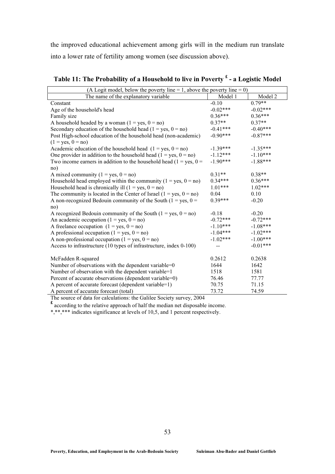the improved educational achievement among girls will in the medium run translate into a lower rate of fertility among women (see discussion above).

| (A Logit model, below the poverty line = 1, above the poverty line = 0)  |            |            |  |  |  |  |
|--------------------------------------------------------------------------|------------|------------|--|--|--|--|
| The name of the explanatory variable                                     | Model 1    | Model 2    |  |  |  |  |
| Constant                                                                 | $-0.10$    | $0.79**$   |  |  |  |  |
| Age of the household's head                                              | $-0.02***$ | $-0.02***$ |  |  |  |  |
| Family size                                                              | $0.36***$  | $0.36***$  |  |  |  |  |
| A household headed by a woman $(1 = yes, 0 = no)$                        | $0.37**$   | $0.37**$   |  |  |  |  |
| Secondary education of the household head $(1 = yes, 0 = no)$            | $-0.41***$ | $-0.40***$ |  |  |  |  |
| Post High-school education of the household head (non-academic)          | $-0.90***$ | $-0.87***$ |  |  |  |  |
| $(1 = yes, 0 = no)$                                                      |            |            |  |  |  |  |
| Academic education of the household head $(1 = yes, 0 = no)$             | $-1.39***$ | $-1.35***$ |  |  |  |  |
| One provider in addition to the household head $(1 = yes, 0 = no)$       | $-1.12***$ | $-1.10***$ |  |  |  |  |
| Two income earners in addition to the household head ( $1 = yes$ , $0 =$ | $-1.90***$ | $-1.88***$ |  |  |  |  |
| no)                                                                      |            |            |  |  |  |  |
| A mixed community $(1 = yes, 0 = no)$                                    | $0.31**$   | $0.38**$   |  |  |  |  |
| Household head employed within the community $(1 = yes, 0 = no)$         | $0.34***$  | $0.36***$  |  |  |  |  |
| Household head is chronically ill $(1 = yes, 0 = no)$                    | $1.01***$  | $1.02***$  |  |  |  |  |
| The community is located in the Center of Israel $(1 = yes, 0 = no)$     | 0.04       | 0.10       |  |  |  |  |
| A non-recognized Bedouin community of the South $(1 = yes, 0 =$          | $0.39***$  | $-0.20$    |  |  |  |  |
| no)                                                                      |            |            |  |  |  |  |
| A recognized Bedouin community of the South $(1 = yes, 0 = no)$          | $-0.18$    | $-0.20$    |  |  |  |  |
| An academic occupation ( $1 = yes$ , $0 = no$ )                          | $-0.72***$ | $-0.72***$ |  |  |  |  |
| A freelance occupation $(1 = yes, 0 = no)$                               | $-1.10***$ | $-1.08***$ |  |  |  |  |
| A professional occupation ( $1 = yes$ , $0 = no$ )                       | $-1.04***$ | $-1.02***$ |  |  |  |  |
| A non-professional occupation $(1 = yes, 0 = no)$                        | $-1.02***$ | $-1.00***$ |  |  |  |  |
| Access to infrastructure (10 types of infrastructure, index 0-100)       | $-$        | $-0.01***$ |  |  |  |  |
|                                                                          |            |            |  |  |  |  |
| McFadden R-squared                                                       | 0.2612     | 0.2638     |  |  |  |  |
| Number of observations with the dependent variable=0                     | 1644       | 1642       |  |  |  |  |
| Number of observation with the dependent variable=1                      | 1518       | 1581       |  |  |  |  |
| Percent of accurate observations (dependent variable=0)                  | 76.46      | 77.77      |  |  |  |  |
| A percent of accurate forecast (dependent variable=1)                    | 70.75      | 71.15      |  |  |  |  |
| A percent of accurate forecast (total)                                   | 73.72      | 74.59      |  |  |  |  |

The source of data for calculations: the Galilee Society survey, 2004

£ according to the relative approach of half the median net disposable income.

\*,\*\*,\*\*\* indicates significance at levels of 10,5, and 1 percent respectively.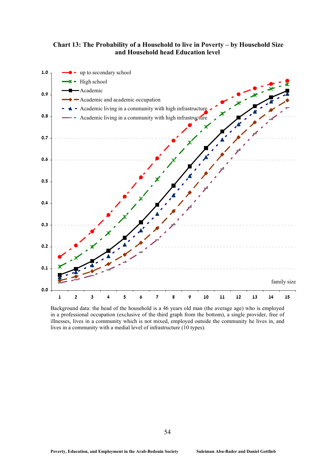## Chart 13: The Probability of a Household to live in Poverty – by Household Size and Household head Education level



Background data: the head of the household is a 46 years old man (the average age) who is employed in a professional occupation (exclusive of the third graph from the bottom), a single provider, free of illnesses, lives in a community which is not mixed, employed outside the community he lives in, and lives in a community with a medial level of infrastructure (10 types).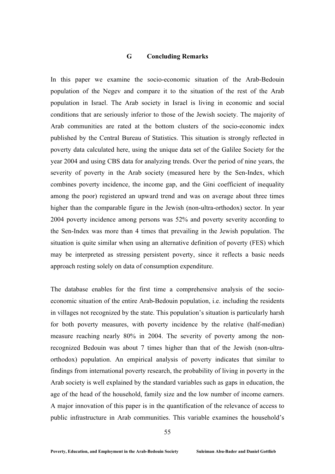## G Concluding Remarks

In this paper we examine the socio-economic situation of the Arab-Bedouin population of the Negev and compare it to the situation of the rest of the Arab population in Israel. The Arab society in Israel is living in economic and social conditions that are seriously inferior to those of the Jewish society. The majority of Arab communities are rated at the bottom clusters of the socio-economic index published by the Central Bureau of Statistics. This situation is strongly reflected in poverty data calculated here, using the unique data set of the Galilee Society for the year 2004 and using CBS data for analyzing trends. Over the period of nine years, the severity of poverty in the Arab society (measured here by the Sen-Index, which combines poverty incidence, the income gap, and the Gini coefficient of inequality among the poor) registered an upward trend and was on average about three times higher than the comparable figure in the Jewish (non-ultra-orthodox) sector. In year 2004 poverty incidence among persons was 52% and poverty severity according to the Sen-Index was more than 4 times that prevailing in the Jewish population. The situation is quite similar when using an alternative definition of poverty (FES) which may be interpreted as stressing persistent poverty, since it reflects a basic needs approach resting solely on data of consumption expenditure.

The database enables for the first time a comprehensive analysis of the socioeconomic situation of the entire Arab-Bedouin population, i.e. including the residents in villages not recognized by the state. This population's situation is particularly harsh for both poverty measures, with poverty incidence by the relative (half-median) measure reaching nearly 80% in 2004. The severity of poverty among the nonrecognized Bedouin was about 7 times higher than that of the Jewish (non-ultraorthodox) population. An empirical analysis of poverty indicates that similar to findings from international poverty research, the probability of living in poverty in the Arab society is well explained by the standard variables such as gaps in education, the age of the head of the household, family size and the low number of income earners. A major innovation of this paper is in the quantification of the relevance of access to public infrastructure in Arab communities. This variable examines the household's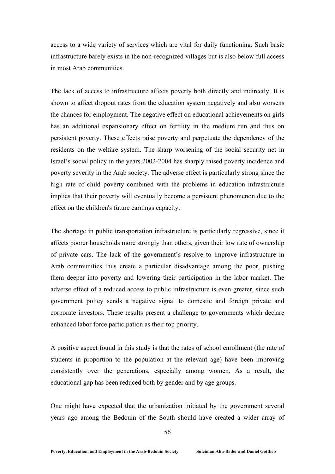access to a wide variety of services which are vital for daily functioning. Such basic infrastructure barely exists in the non-recognized villages but is also below full access in most Arab communities.

The lack of access to infrastructure affects poverty both directly and indirectly: It is shown to affect dropout rates from the education system negatively and also worsens the chances for employment. The negative effect on educational achievements on girls has an additional expansionary effect on fertility in the medium run and thus on persistent poverty. These effects raise poverty and perpetuate the dependency of the residents on the welfare system. The sharp worsening of the social security net in Israel's social policy in the years 2002-2004 has sharply raised poverty incidence and poverty severity in the Arab society. The adverse effect is particularly strong since the high rate of child poverty combined with the problems in education infrastructure implies that their poverty will eventually become a persistent phenomenon due to the effect on the children's future earnings capacity.

The shortage in public transportation infrastructure is particularly regressive, since it affects poorer households more strongly than others, given their low rate of ownership of private cars. The lack of the government's resolve to improve infrastructure in Arab communities thus create a particular disadvantage among the poor, pushing them deeper into poverty and lowering their participation in the labor market. The adverse effect of a reduced access to public infrastructure is even greater, since such government policy sends a negative signal to domestic and foreign private and corporate investors. These results present a challenge to governments which declare enhanced labor force participation as their top priority.

A positive aspect found in this study is that the rates of school enrollment (the rate of students in proportion to the population at the relevant age) have been improving consistently over the generations, especially among women. As a result, the educational gap has been reduced both by gender and by age groups.

One might have expected that the urbanization initiated by the government several years ago among the Bedouin of the South should have created a wider array of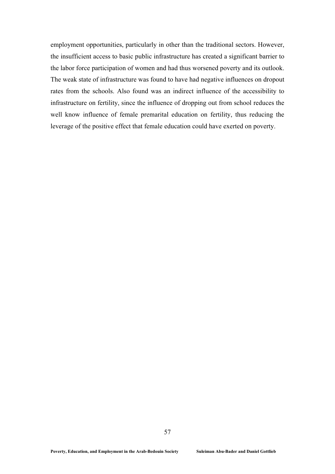employment opportunities, particularly in other than the traditional sectors. However, the insufficient access to basic public infrastructure has created a significant barrier to the labor force participation of women and had thus worsened poverty and its outlook. The weak state of infrastructure was found to have had negative influences on dropout rates from the schools. Also found was an indirect influence of the accessibility to infrastructure on fertility, since the influence of dropping out from school reduces the well know influence of female premarital education on fertility, thus reducing the leverage of the positive effect that female education could have exerted on poverty.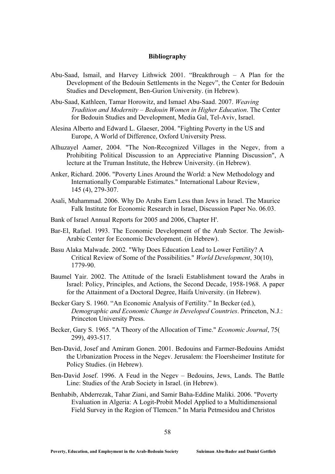#### Bibliography

- Abu-Saad, Ismail, and Harvey Lithwick 2001. "Breakthrough A Plan for the Development of the Bedouin Settlements in the Negev", the Center for Bedouin Studies and Development, Ben-Gurion University. (in Hebrew).
- Abu-Saad, Kathleen, Tamar Horowitz, and Ismael Abu-Saad. 2007. Weaving Tradition and Modernity – Bedouin Women in Higher Education. The Center for Bedouin Studies and Development, Media Gal, Tel-Aviv, Israel.
- Alesina Alberto and Edward L. Glaeser, 2004. "Fighting Poverty in the US and Europe, A World of Difference, Oxford University Press.
- Alhuzayel Aamer, 2004. "The Non-Recognized Villages in the Negev, from a Prohibiting Political Discussion to an Appreciative Planning Discussion", A lecture at the Truman Institute, the Hebrew University. (in Hebrew).
- Anker, Richard. 2006. "Poverty Lines Around the World: a New Methodology and Internationally Comparable Estimates." International Labour Review, 145 (4), 279-307.
- Asali, Muhammad. 2006. Why Do Arabs Earn Less than Jews in Israel. The Maurice Falk Institute for Economic Research in Israel, Discussion Paper No. 06.03.
- Bank of Israel Annual Reports for 2005 and 2006, Chapter H'.
- Bar-El, Rafael. 1993. The Economic Development of the Arab Sector. The Jewish-Arabic Center for Economic Development. (in Hebrew).
- Basu Alaka Malwade. 2002. "Why Does Education Lead to Lower Fertility? A Critical Review of Some of the Possibilities." World Development, 30(10), 1779-90.
- Baumel Yair. 2002. The Attitude of the Israeli Establishment toward the Arabs in Israel: Policy, Principles, and Actions, the Second Decade, 1958-1968. A paper for the Attainment of a Doctoral Degree, Haifa University. (in Hebrew).
- Becker Gary S. 1960. "An Economic Analysis of Fertility." In Becker (ed.), Demographic and Economic Change in Developed Countries. Princeton, N.J.: Princeton University Press.
- Becker, Gary S. 1965. "A Theory of the Allocation of Time." Economic Journal, 75( 299), 493-517.
- Ben-David, Josef and Amiram Gonen. 2001. Bedouins and Farmer-Bedouins Amidst the Urbanization Process in the Negev. Jerusalem: the Floersheimer Institute for Policy Studies. (in Hebrew).
- Ben-David Josef. 1996. A Feud in the Negev Bedouins, Jews, Lands. The Battle Line: Studies of the Arab Society in Israel. (in Hebrew).
- Benhabib, Abderrezak, Tahar Ziani, and Samir Baha-Eddine Maliki. 2006. "Poverty Evaluation in Algeria: A Logit-Probit Model Applied to a Multidimensional Field Survey in the Region of Tlemcen." In Maria Petmesidou and Christos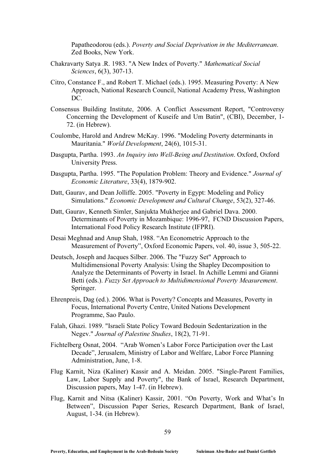Papatheodorou (eds.). Poverty and Social Deprivation in the Mediterranean. Zed Books, New York.

- Chakravarty Satya .R. 1983. "A New Index of Poverty." Mathematical Social Sciences, 6(3), 307-13.
- Citro, Constance F., and Robert T. Michael (eds.). 1995. Measuring Poverty: A New Approach, National Research Council, National Academy Press, Washington  $DC$ .
- Consensus Building Institute, 2006. A Conflict Assessment Report, "Controversy Concerning the Development of Kuseife and Um Batin", (CBI), December, 1- 72. (in Hebrew).
- Coulombe, Harold and Andrew McKay. 1996. "Modeling Poverty determinants in Mauritania." World Development, 24(6), 1015-31.
- Dasgupta, Partha. 1993. An Inquiry into Well-Being and Destitution. Oxford, Oxford University Press.
- Dasgupta, Partha. 1995. "The Population Problem: Theory and Evidence." Journal of Economic Literature, 33(4), 1879-902.
- Datt, Gaurav, and Dean Jolliffe. 2005. "Poverty in Egypt: Modeling and Policy Simulations." Economic Development and Cultural Change, 53(2), 327-46.
- Datt, Gaurav, Kenneth Simler, Sanjukta Mukherjee and Gabriel Dava. 2000. Determinants of Poverty in Mozambique: 1996-97, FCND Discussion Papers, International Food Policy Research Institute (IFPRI).
- Desai Meghnad and Anup Shah, 1988. "An Econometric Approach to the Measurement of Poverty", Oxford Economic Papers, vol. 40, issue 3, 505-22.
- Deutsch, Joseph and Jacques Silber. 2006. The "Fuzzy Set" Approach to Multidimensional Poverty Analysis: Using the Shapley Decomposition to Analyze the Determinants of Poverty in Israel. In Achille Lemmi and Gianni Betti (eds.). Fuzzy Set Approach to Multidimensional Poverty Measurement. Springer.
- Ehrenpreis, Dag (ed.). 2006. What is Poverty? Concepts and Measures, Poverty in Focus, International Poverty Centre, United Nations Development Programme, Sao Paulo.
- Falah, Ghazi. 1989. "Israeli State Policy Toward Bedouin Sedentarization in the Negev." Journal of Palestine Studies, 18(2), 71-91.
- Fichtelberg Osnat, 2004. "Arab Women's Labor Force Participation over the Last Decade", Jerusalem, Ministry of Labor and Welfare, Labor Force Planning Administration, June, 1-8.
- Flug Karnit, Niza (Kaliner) Kassir and A. Meidan. 2005. "Single-Parent Families, Law, Labor Supply and Poverty", the Bank of Israel, Research Department, Discussion papers, May 1-47. (in Hebrew).
- Flug, Karnit and Nitsa (Kaliner) Kassir, 2001. "On Poverty, Work and What's In Between", Discussion Paper Series, Research Department, Bank of Israel, August, 1-34. (in Hebrew).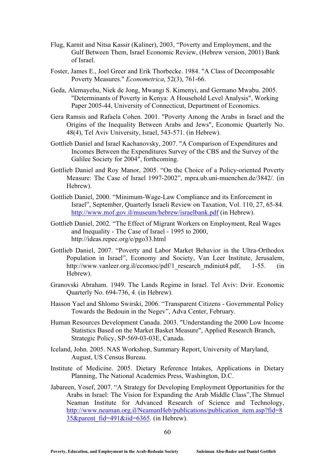- Flug, Karnit and Nitsa Kassir (Kaliner), 2003, "Poverty and Employment, and the Gulf Between Them, Israel Economic Review, (Hebrew version, 2001) Bank of Israel.
- Foster, James E., Joel Greer and Erik Thorbecke. 1984. "A Class of Decomposable Poverty Measures." Econometrica, 52(3), 761-66.
- Geda, Alemayehu, Niek de Jong, Mwangi S. Kimenyi, and Germano Mwabu. 2005. "Determinants of Poverty in Kenya: A Household Level Analysis", Working Paper 2005-44, University of Connecticut, Department of Economics.
- Gera Ramsis and Rafaela Cohen. 2001. "Poverty Among the Arabs in Israel and the Origins of the Inequality Between Arabs and Jews", Economic Quarterly No. 48(4), Tel Aviv University, Israel, 543-571. (in Hebrew).
- Gottlieb Daniel and Israel Kachanovsky, 2007. "A Comparison of Expenditures and Incomes Between the Expenditures Survey of the CBS and the Survey of the Galilee Society for 2004", forthcoming.
- Gottlieb Daniel and Roy Manor, 2005. "On the Choice of a Policy-oriented Poverty Measure: The Case of Israel 1997-2002", mpra.ub.uni-muenchen.de/3842/. (in Hebrew).
- Gottlieb Daniel, 2000. "Minimum-Wage-Law Compliance and its Enforcement in Israel", September, Quarterly Israeli Review on Taxation, Vol. 110, 27, 65-84. http://www.mof.gov.il/museum/hebrew/israelbank.pdf (in Hebrew).
- Gottlieb Daniel, 2002. "The Effect of Migrant Workers on Employment, Real Wages and Inequality - The Case of Israel - 1995 to 2000, http://ideas.repec.org/e/pgo33.html
- Gottlieb Daniel, 2007. "Poverty and Labor Market Behavior in the Ultra-Orthodox Population in Israel", Economy and Society, Van Leer Institute, Jerusalem, http://www.vanleer.org.il/econsoc/pdf/1 research mdiniut4.pdf, 1-55. (in Hebrew).
- Granovski Abraham. 1949. The Lands Regime in Israel. Tel Aviv: Dvir. Economic Quarterly No. 694-736, 4. (in Hebrew).
- Hasson Yael and Shlomo Swirski, 2006. "Transparent Citizens Governmental Policy Towards the Bedouin in the Negev", Adva Center, February.
- Human Resources Development Canada. 2003. "Understanding the 2000 Low Income Statistics Based on the Market Basket Measure", Applied Research Branch, Strategic Policy, SP-569-03-03E, Canada.
- Iceland, John. 2005. NAS Workshop, Summary Report, University of Maryland, August, US Census Bureau.
- Institute of Medicine. 2005. Dietary Reference Intakes, Applications in Dietary Planning, The National Academies Press, Washington, D.C.
- Jabareen, Yosef, 2007. "A Strategy for Developing Employment Opportunities for the Arabs in Israel: The Vision for Expanding the Arab Middle Class",The Shmuel Neaman Institute for Advanced Research of Science and Technology, http://www.neaman.org.il/NeamanHeb/publications/publication\_item.asp?fid=8 35&parent\_fid=491&iid=6365. (in Hebrew).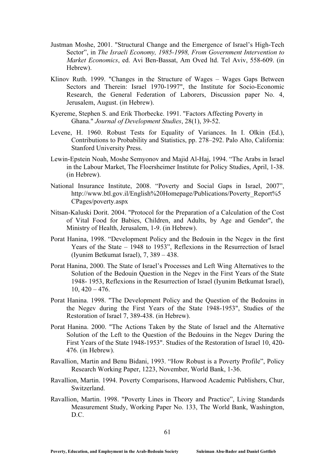- Justman Moshe, 2001. "Structural Change and the Emergence of Israel's High-Tech Sector", in The Israeli Economy, 1985-1998, From Government Intervention to Market Economics, ed. Avi Ben-Bassat, Am Oved ltd. Tel Aviv, 558-609. (in Hebrew).
- Klinov Ruth. 1999. "Changes in the Structure of Wages Wages Gaps Between Sectors and Therein: Israel 1970-1997", the Institute for Socio-Economic Research, the General Federation of Laborers, Discussion paper No. 4, Jerusalem, August. (in Hebrew).
- Kyereme, Stephen S. and Erik Thorbecke. 1991. "Factors Affecting Poverty in Ghana." Journal of Development Studies, 28(1), 39-52.
- Levene, H. 1960. Robust Tests for Equality of Variances. In I. Olkin (Ed.), Contributions to Probability and Statistics, pp. 278–292. Palo Alto, California: Stanford University Press.
- Lewin-Epstein Noah, Moshe Semyonov and Majid Al-Haj, 1994. "The Arabs in Israel in the Labour Market, The Floersheimer Institute for Policy Studies, April, 1-38. (in Hebrew).
- National Insurance Institute, 2008. "Poverty and Social Gaps in Israel, 2007", http://www.btl.gov.il/English%20Homepage/Publications/Poverty\_Report%5 CPages/poverty.aspx
- Nitsan-Kaluski Dorit. 2004. "Protocol for the Preparation of a Calculation of the Cost of Vital Food for Babies, Children, and Adults, by Age and Gender", the Ministry of Health, Jerusalem, 1-9. (in Hebrew).
- Porat Hanina, 1998. "Development Policy and the Bedouin in the Negev in the first Years of the State – 1948 to 1953", Reflexions in the Resurrection of Israel (Iyunim Betkumat Israel), 7, 389 – 438.
- Porat Hanina, 2000. The State of Israel's Processes and Left Wing Alternatives to the Solution of the Bedouin Question in the Negev in the First Years of the State 1948- 1953, Reflexions in the Resurrection of Israel (Iyunim Betkumat Israel),  $10, 420 - 476.$
- Porat Hanina. 1998. "The Development Policy and the Question of the Bedouins in the Negev during the First Years of the State 1948-1953", Studies of the Restoration of Israel 7, 389-438. (in Hebrew).
- Porat Hanina. 2000. "The Actions Taken by the State of Israel and the Alternative Solution of the Left to the Question of the Bedouins in the Negev During the First Years of the State 1948-1953". Studies of the Restoration of Israel 10, 420- 476. (in Hebrew).
- Ravallion, Martin and Benu Bidani, 1993. "How Robust is a Poverty Profile", Policy Research Working Paper, 1223, November, World Bank, 1-36.
- Ravallion, Martin. 1994. Poverty Comparisons, Harwood Academic Publishers, Chur, Switzerland.
- Ravallion, Martin. 1998. "Poverty Lines in Theory and Practice", Living Standards Measurement Study, Working Paper No. 133, The World Bank, Washington, D.C.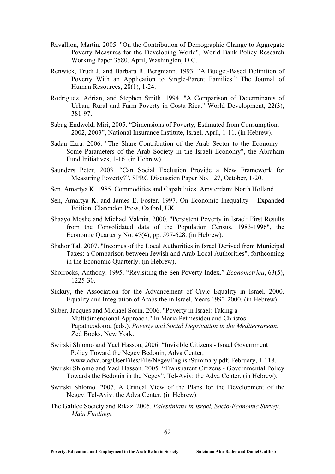- Ravallion, Martin. 2005. "On the Contribution of Demographic Change to Aggregate Poverty Measures for the Developing World", World Bank Policy Research Working Paper 3580, April, Washington, D.C.
- Renwick, Trudi J. and Barbara R. Bergmann. 1993. "A Budget-Based Definition of Poverty With an Application to Single-Parent Families." The Journal of Human Resources, 28(1), 1-24.
- Rodriguez, Adrian, and Stephen Smith. 1994. "A Comparison of Determinants of Urban, Rural and Farm Poverty in Costa Rica." World Development, 22(3), 381-97.
- Sabag-Endweld, Miri, 2005. "Dimensions of Poverty, Estimated from Consumption, 2002, 2003", National Insurance Institute, Israel, April, 1-11. (in Hebrew).
- Sadan Ezra. 2006. "The Share-Contribution of the Arab Sector to the Economy Some Parameters of the Arab Society in the Israeli Economy", the Abraham Fund Initiatives, 1-16. (in Hebrew).
- Saunders Peter, 2003. "Can Social Exclusion Provide a New Framework for Measuring Poverty?", SPRC Discussion Paper No. 127, October, 1-20.
- Sen, Amartya K. 1985. Commodities and Capabilities. Amsterdam: North Holland.
- Sen, Amartya K. and James E. Foster. 1997. On Economic Inequality Expanded Edition. Clarendon Press, Oxford, UK.
- Shaayo Moshe and Michael Vaknin. 2000. "Persistent Poverty in Israel: First Results from the Consolidated data of the Population Census, 1983-1996", the Economic Quarterly No. 47(4), pp. 597-628. (in Hebrew).
- Shahor Tal. 2007. "Incomes of the Local Authorities in Israel Derived from Municipal Taxes: a Comparison between Jewish and Arab Local Authorities", forthcoming in the Economic Quarterly. (in Hebrew).
- Shorrocks, Anthony. 1995. "Revisiting the Sen Poverty Index." Econometrica, 63(5), 1225-30.
- Sikkuy, the Association for the Advancement of Civic Equality in Israel. 2000. Equality and Integration of Arabs the in Israel, Years 1992-2000. (in Hebrew).
- Silber, Jacques and Michael Sorin. 2006. "Poverty in Israel: Taking a Multidimensional Approach." In Maria Petmesidou and Christos Papatheodorou (eds.). Poverty and Social Deprivation in the Mediterranean. Zed Books, New York.
- Swirski Shlomo and Yael Hasson, 2006. "Invisible Citizens Israel Government Policy Toward the Negev Bedouin, Adva Center,

www.adva.org/UserFiles/File/NegevEnglishSummary.pdf, February, 1-118.

- Swirski Shlomo and Yael Hasson. 2005. "Transparent Citizens Governmental Policy Towards the Bedouin in the Negev", Tel-Aviv: the Adva Center. (in Hebrew).
- Swirski Shlomo. 2007. A Critical View of the Plans for the Development of the Negev. Tel-Aviv: the Adva Center. (in Hebrew).
- The Galilee Society and Rikaz. 2005. Palestinians in Israel, Socio-Economic Survey, Main Findings.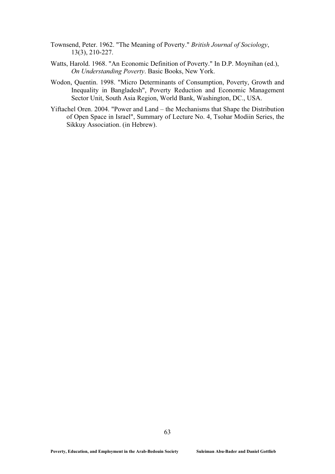- Townsend, Peter. 1962. "The Meaning of Poverty." British Journal of Sociology, 13(3), 210-227.
- Watts, Harold. 1968. "An Economic Definition of Poverty." In D.P. Moynihan (ed.), On Understanding Poverty. Basic Books, New York.
- Wodon, Quentin. 1998. "Micro Determinants of Consumption, Poverty, Growth and Inequality in Bangladesh", Poverty Reduction and Economic Management Sector Unit, South Asia Region, World Bank, Washington, DC., USA.
- Yiftachel Oren. 2004. "Power and Land the Mechanisms that Shape the Distribution of Open Space in Israel", Summary of Lecture No. 4, Tsohar Modiin Series, the Sikkuy Association. (in Hebrew).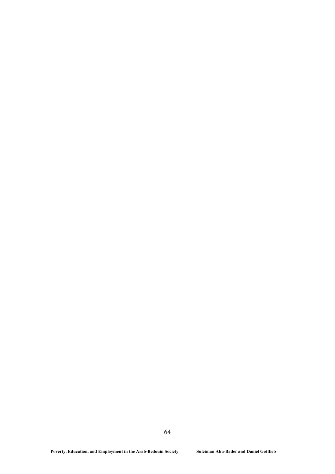Poverty, Education, and Employment in the Arab-Bedouin Society Suleiman Abu-Bader and Daniel Gottlieb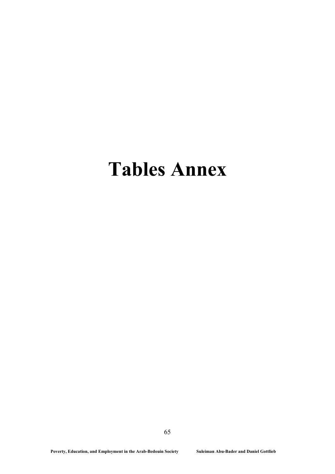# Tables Annex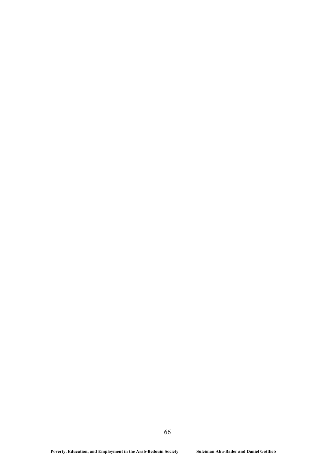Poverty, Education, and Employment in the Arab-Bedouin Society Suleiman Abu-Bader and Daniel Gottlieb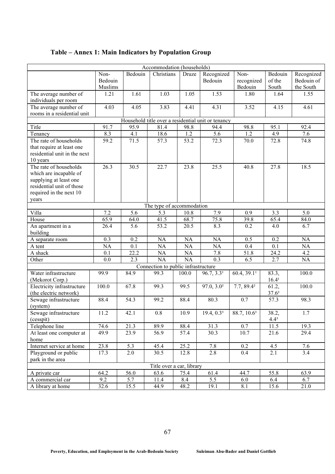| Accommodation (households)                                                                                                                  |                            |         |                                     |       |                        |                               |                            |                                       |  |  |  |  |
|---------------------------------------------------------------------------------------------------------------------------------------------|----------------------------|---------|-------------------------------------|-------|------------------------|-------------------------------|----------------------------|---------------------------------------|--|--|--|--|
|                                                                                                                                             | Non-<br>Bedouin<br>Muslims | Bedouin | Christians                          | Druze | Recognized<br>Bedouin  | Non-<br>recognized<br>Bedouin | Bedouin<br>of the<br>South | Recognized<br>Bedouin of<br>the South |  |  |  |  |
| The average number of<br>individuals per room                                                                                               | 1.21                       | 1.61    | 1.03                                | 1.05  | 1.53                   | 1.80                          | 1.64                       | 1.55                                  |  |  |  |  |
| The average number of<br>rooms in a residential unit                                                                                        | 4.03                       | 4.05    | 3.83                                | 4.41  | 4.31                   | 3.52                          | 4.15                       | 4.61                                  |  |  |  |  |
| Household title over a residential unit or tenancy                                                                                          |                            |         |                                     |       |                        |                               |                            |                                       |  |  |  |  |
| Title                                                                                                                                       | 91.7                       | 95.9    | 81.4                                | 98.8  | 94.4                   | 98.8                          | 95.1                       | 92.4                                  |  |  |  |  |
| Tenancy                                                                                                                                     | 8.3                        | 4.1     | 18.6                                | 1.2   | 5.6                    | 1.2                           | 4.9                        | 7.6                                   |  |  |  |  |
| The rate of households                                                                                                                      | 59.2                       | 71.5    | 57.3                                | 53.2  | 72.3                   | 70.0                          | 72.8                       | 74.8                                  |  |  |  |  |
| that require at least one<br>residential unit in the next<br>10 years                                                                       |                            |         |                                     |       |                        |                               |                            |                                       |  |  |  |  |
| The rate of households<br>which are incapable of<br>supplying at least one<br>residential unit of those<br>required in the next 10<br>years | 26.3                       | 30.5    | 22.7                                | 23.8  | 25.5                   | 40.8                          | 27.8                       | 18.5                                  |  |  |  |  |
|                                                                                                                                             |                            |         | The type of accommodation           |       |                        |                               |                            |                                       |  |  |  |  |
| Villa                                                                                                                                       | 7.2                        | 5.6     | 5.3                                 | 10.8  | 7.9                    | 0.9                           | 3.3                        | 5.0                                   |  |  |  |  |
| House                                                                                                                                       | $\overline{6}$ 5.9         | 64.0    | $\overline{41.5}$                   | 68.7  | 75.8                   | 39.8                          | 65.4                       | 84.0                                  |  |  |  |  |
| An apartment in a<br>building                                                                                                               | 26.4                       | 5.6     | 53.2                                | 20.5  | 8.3                    | 0.2                           | 4.0                        | 6.7                                   |  |  |  |  |
| A separate room                                                                                                                             | 0.3                        | 0.2     | NA                                  | NA    | <b>NA</b>              | 0.5                           | 0.2                        | NA                                    |  |  |  |  |
| A tent                                                                                                                                      | <b>NA</b>                  | 0.1     | <b>NA</b>                           | NA    | <b>NA</b>              | 0.4                           | 0.1                        | NA                                    |  |  |  |  |
| A shack                                                                                                                                     | 0.1                        | 22.2    | NA                                  | NA    | 7.8                    | 51.8                          | 24.2                       | 4.2                                   |  |  |  |  |
| Other                                                                                                                                       | 0.0                        | 2.3     | NA                                  | NA    | 0.3                    | 6.5                           | 2.7                        | $\rm NA$                              |  |  |  |  |
|                                                                                                                                             |                            |         | Connection to public infrastructure |       |                        |                               |                            |                                       |  |  |  |  |
| Water infrastructure<br>(Mekorot Corp.)                                                                                                     | 99.9                       | 84.9    | 99.3                                | 100.0 | 96.7, 3.3 <sup>1</sup> | 60.4, 39.11                   | 83.3,<br>16.4 <sup>1</sup> | 100.0                                 |  |  |  |  |
| Electricity infrastructure<br>(the electric network)                                                                                        | 100.0                      | 67.8    | 99.3                                | 99.5  | 97.0, 3.0 <sup>2</sup> | $7.7, 89.4^2$                 | 61.2,<br>$37.6^2$          | 100.0                                 |  |  |  |  |
| Sewage infrastructure<br>(system)                                                                                                           | 88.4                       | 54.3    | 99.2                                | 88.4  | 80.3                   | 0.7                           | 57.3                       | 98.3                                  |  |  |  |  |
| Sewage infrastructure<br>(cesspit)                                                                                                          | 11.2                       | 42.1    | $0.8\,$                             | 10.9  | 19.4, 0.3 <sup>3</sup> | 88.7, 10.6 <sup>3</sup>       | 38.2,<br>$4.4^{3}$         | 1.7                                   |  |  |  |  |
| Telephone line                                                                                                                              | 74.6                       | 21.3    | 89.9                                | 88.4  | 31.3                   | 0.7                           | 11.5                       | 19.3                                  |  |  |  |  |
| At least one computer at<br>home                                                                                                            | 49.9                       | 23.9    | 56.9                                | 57.4  | 30.3                   | 10.7                          | 21.6                       | 29.4                                  |  |  |  |  |
| Internet service at home                                                                                                                    | 23.8                       | 5.3     | 45.4                                | 25.2  | 7.8                    | $0.2\,$                       | 4.5                        | 7.6                                   |  |  |  |  |
| Playground or public<br>park in the area                                                                                                    | 17.3                       | 2.0     | 30.5                                | 12.8  | 2.8                    | 0.4                           | 2.1                        | 3.4                                   |  |  |  |  |
| Title over a car, library                                                                                                                   |                            |         |                                     |       |                        |                               |                            |                                       |  |  |  |  |
| A private car                                                                                                                               | 64.2                       | 56.0    | 63.6                                | 75.4  | 61.4                   | 44.7                          | 55.8                       | 63.9                                  |  |  |  |  |
| A commercial car                                                                                                                            | 9.2                        | 5.7     | 11.4                                | 8.4   | 5.5                    | 6.0                           | 6.4                        | 6.7                                   |  |  |  |  |
| A library at home                                                                                                                           | 32.6                       | 15.5    | 44.9                                | 48.2  | 19.1                   | 8.1                           | 15.6                       | 21.0                                  |  |  |  |  |

### Table – Annex 1: Main Indicators by Population Group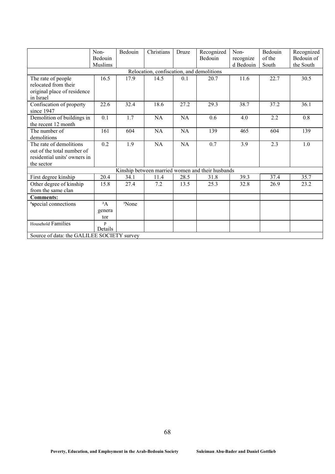|                                                  | Non-           | Bedouin           | Christians | Druze     | Recognized | Non-      | Bedouin | Recognized |  |  |  |
|--------------------------------------------------|----------------|-------------------|------------|-----------|------------|-----------|---------|------------|--|--|--|
|                                                  | <b>Bedouin</b> |                   |            |           | Bedouin    | recognize | of the  | Bedouin of |  |  |  |
|                                                  | <b>Muslims</b> |                   |            |           |            | d Bedouin | South   | the South  |  |  |  |
| Relocation, confiscation, and demolitions        |                |                   |            |           |            |           |         |            |  |  |  |
| The rate of people                               | 16.5           | 17.9              | 14.5       | 0.1       | 20.7       | 11.6      | 22.7    | 30.5       |  |  |  |
| relocated from their                             |                |                   |            |           |            |           |         |            |  |  |  |
| original place of residence                      |                |                   |            |           |            |           |         |            |  |  |  |
| in Israel                                        |                |                   |            |           |            |           |         |            |  |  |  |
| Confiscation of property                         | 22.6           | 32.4              | 18.6       | 27.2      | 29.3       | 38.7      | 37.2    | 36.1       |  |  |  |
| since 1947                                       |                |                   |            |           |            |           |         |            |  |  |  |
| Demolition of buildings in                       | 0.1            | 1.7               | <b>NA</b>  | <b>NA</b> | 0.6        | 4.0       | 2.2     | 0.8        |  |  |  |
| the recent 12 month                              |                |                   |            |           |            |           |         |            |  |  |  |
| The number of                                    | 161            | 604               | <b>NA</b>  | <b>NA</b> | 139        | 465       | 604     | 139        |  |  |  |
| demolitions                                      |                |                   |            |           |            |           |         |            |  |  |  |
| The rate of demolitions                          | 0.2            | 1.9               | <b>NA</b>  | NA        | 0.7        | 3.9       | 2.3     | 1.0        |  |  |  |
| out of the total number of                       |                |                   |            |           |            |           |         |            |  |  |  |
| residential units' owners in                     |                |                   |            |           |            |           |         |            |  |  |  |
| the sector                                       |                |                   |            |           |            |           |         |            |  |  |  |
| Kinship between married women and their husbands |                |                   |            |           |            |           |         |            |  |  |  |
| First degree kinship                             | 20.4           | 34.1              | 11.4       | 28.5      | 31.8       | 39.3      | 37.4    | 35.7       |  |  |  |
| Other degree of kinship                          | 15.8           | 27.4              | 7.2        | 13.5      | 25.3       | 32.8      | 26.9    | 23.2       |  |  |  |
| from the same clan                               |                |                   |            |           |            |           |         |            |  |  |  |
| <b>Comments:</b>                                 |                |                   |            |           |            |           |         |            |  |  |  |
| <sup>1</sup> special connections                 | ${}^{2}A$      | <sup>3</sup> None |            |           |            |           |         |            |  |  |  |
|                                                  | genera         |                   |            |           |            |           |         |            |  |  |  |
|                                                  | tor            |                   |            |           |            |           |         |            |  |  |  |
| Household Families                               | p              |                   |            |           |            |           |         |            |  |  |  |
|                                                  | Details        |                   |            |           |            |           |         |            |  |  |  |
| Source of data: the GALILEE SOCIETY survey       |                |                   |            |           |            |           |         |            |  |  |  |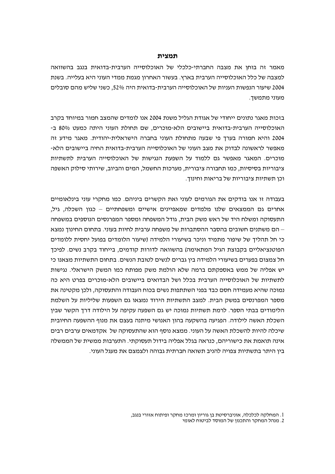#### תמצית

מאמר זה בוחן את מצבה החברתי-כלכלי של האוכלוסייה הערבית-בדואית בנגב בהשוואה למצבה של כלל האוכלוסייה הערבית בארץ. בעשור האחרון מגמת ממדי העוני היא בעלייה. בשנת 2004 שיעור הנפשות העניות של האוכלוסייה הערבית-בדואית היה 52%, כשני שליש מהם סובלים מעוני מתמש.

בזכות מאגר נתונים ייחודי של אגודת הגליל משנת 2004 אנו לומדים שהמצב חמור במיוחד בקרב האוכלוסייה הערבית-בדואית ביישובים הלא-מוכרים, שם תחולת העוני היתה כמעט 80% ב-2004 והיא חמורה בערך פי שבעה מתחולת העוני בחברה הישראלית-יהודית. מאגר מידע זה מאפשר לראשונה לבדוק את מצב העוני של האוכלוסייה הערבית-בדואית החיה ביישובים הלא-מוכרים. המאגר מאפשר גם ללמוד על השפעת הנגישות של האוכלוסייה הערבית לתשתיות ציבוריות בסיסיות, כמו תחבורה ציבורית, מערכות החשמל, המים והביוב, שירותי סילוק האשפה וכו תשתיות ציבוריות של בריאות וחינוד.

בעבודה זו אנו בודקים את הגורמים לעוני ואת הקשרים ביניהם. כמו מחקרי עוני בינלאומיים אחרים גם הממצאים שלנו מלמדים שמאפיינים אישיים ומשפחתיים – כגוו השכלה, גיל, התעסוקה ומשלח היד של ראש משק הבית. גודל המשפחה ומספר המפרנסים הנוספים במשפחה הם משתנים חשובים בהסבר ההסתברות של משפחה ערבית לחיות בעוני. בתחום החינוך נמצא – כי חל תהליד של שיפור מתמיד וניכר בשיעורי הלמידה (שיעור הלומדים בפועל יחסית ללומדים הפוטנציאליים בקבוצת הגיל המתאימה) בהשוואה לדורות קודמים, בייחוד בקרב נשים. לפיכד חל צמצום בפערים בשיעורי הלמידה בין גברים לנשים לטובת הנשים. בתחום התשתיות מצאנו כי יש אפליה של ממש באספקתם ברמה שלא הולמת משק מפותח כמו המשק הישראלי. נגישות לתשתיות של האוכלוסייה הערבית בכלל ושל הבדואים ביישובים הלא-מוכרים בפרט היא כה נמוכה שהיא מעמידה חסם כבד בפני השתתפות נשים בכוח העבודה והתעסוקה, ולכן מקטינה את מספר המפרנסים במשק הבית. למצב התשתיות הירוד נמצאו גם השפעות שליליות על השלמת הלימודים בבתי הספר. לרמת תשתיות נמוכה יש גם השפעה עקיפה על הילודה דרך הקשר שבין השכלת האשה לילודה. הפגיעה בהשקעה בהוו האנושי מיתנה בעצם את מנוף ההשפעה החיובית שיכלה להיות להשכלת האשה על העוני. ממצא נוסף הוא שהתעסוקה של אקדמאים ערבים רבים אינה תואמת את כישוריה, כנראה בגלל אפליה בידול תעסוקתי. התערבות ממשית של הממשלה ביו היתר בתשתיות צפויה להניב תשואה חברתית גבוהה ולצמצם את מעגל העוני.

1. המחלקה לכלכלה, אוניברסיטת בן גוריון ומרכז מחקר ופיתוח אזורי בנגב,

.2 מנהל המחקר והתכנו של המוסד לביטוח לאומי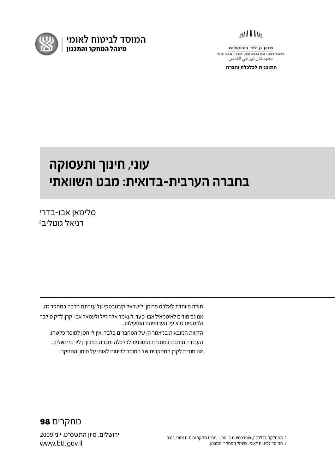

המוסד לביטוח לאומי **מינהל המחקר והתכנון**

祖其時

מכון ון ליר בירושלים THE VAN LEER JERUSALEM INSTITUTE معهد فان لير في القدس

התוכנית לכלכלה **וחברה** 

### **עוני, חינוך ותעסוקה בחברה הערבית-בדואית: מבט השוואתי**

1 סלימאן אבו–בדר  $^{\text{2}}$ דניאל גוטליב

תודה מיוחדת לאלכס פרומן ולישראל קצ'נובסקי על עזרתם הרבה במחקר זה.

אנו גם מודים לאיסמאיל אבו-סעד, לעאמר אלהוזייל ולעמאר אבו-קרן, לז'ק סילבר ולרמסיס גרא על הערותיהם המועילות.

הדעות המובאות במאמר הן של המחברים בלבד ואין לייחסן למוסד כלשהו.

העבודה נכתבה במסגרת התוכנית לכלכלה וחברה במכון ון ליר בירושלים.

אנו מודים לקרן המחקרים של המוסד לביטוח לאומי על מימון המחקר.

מחקרים 98

ירושלים, סיון התשס"ט, יוני 2009 www.btl.gov.il